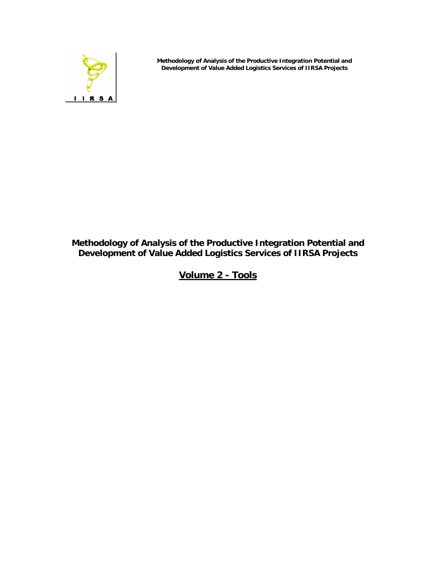

**Methodology of Analysis of the Productive Integration Potential and Development of Value Added Logistics Services of IIRSA Projects**

# **Methodology of Analysis of the Productive Integration Potential and Development of Value Added Logistics Services of IIRSA Projects**

**Volume 2 - Tools**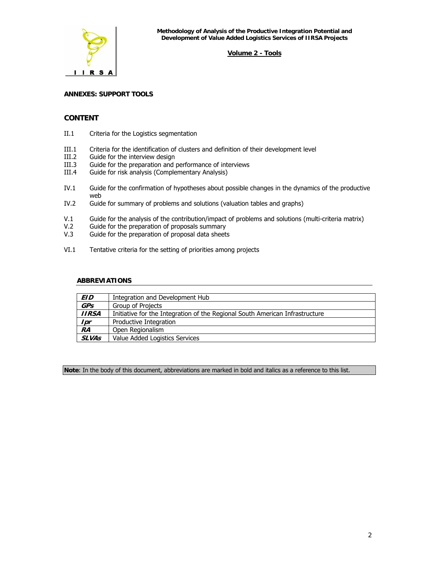

## **ANNEXES: SUPPORT TOOLS**

## **CONTENT**

- II.1 Criteria for the Logistics segmentation
- III.1 Criteria for the identification of clusters and definition of their development level
- 
- III.2 Guide for the interview design<br>III.3 Guide for the preparation and III.3 Guide for the preparation and performance of interviews<br>III.4 Guide for risk analysis (Complementary Analysis)
- Guide for risk analysis (Complementary Analysis)
- IV.1 Guide for the confirmation of hypotheses about possible changes in the dynamics of the productive web
- IV.2 Guide for summary of problems and solutions (valuation tables and graphs)
- V.1 Guide for the analysis of the contribution/impact of problems and solutions (multi-criteria matrix)
- V.2 Guide for the preparation of proposals summary
- V.3 Guide for the preparation of proposal data sheets
- VI.1 Tentative criteria for the setting of priorities among projects

#### **ABBREVIATIONS**

| <b>EID</b>   | Integration and Development Hub                                              |
|--------------|------------------------------------------------------------------------------|
| <b>GPs</b>   | Group of Projects                                                            |
| <b>IIRSA</b> | Initiative for the Integration of the Regional South American Infrastructure |
| <b>Ipr</b>   | Productive Integration                                                       |
| $R$ A        | Open Regionalism                                                             |
| SLVAs        | Value Added Logistics Services                                               |

**Note**: In the body of this document, abbreviations are marked in bold and italics as a reference to this list.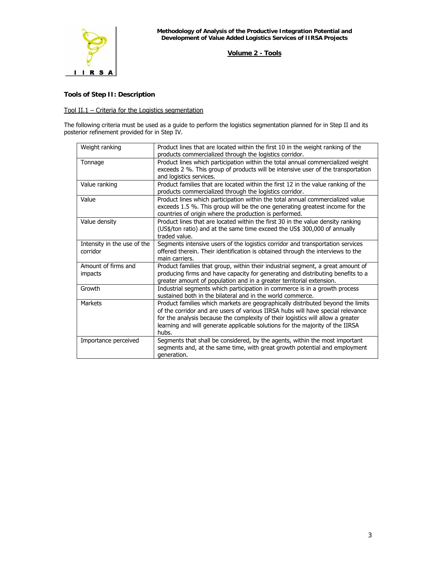

## **Tools of Step II: Description**

### Tool II.1 – Criteria for the Logistics segmentation

The following criteria must be used as a guide to perform the logistics segmentation planned for in Step II and its posterior refinement provided for in Step IV.

| Weight ranking                          | Product lines that are located within the first 10 in the weight ranking of the<br>products commercialized through the logistics corridor.                                                                                                                                                                                                      |
|-----------------------------------------|-------------------------------------------------------------------------------------------------------------------------------------------------------------------------------------------------------------------------------------------------------------------------------------------------------------------------------------------------|
| Tonnage                                 | Product lines which participation within the total annual commercialized weight<br>exceeds 2 %. This group of products will be intensive user of the transportation<br>and logistics services.                                                                                                                                                  |
| Value ranking                           | Product families that are located within the first 12 in the value ranking of the<br>products commercialized through the logistics corridor.                                                                                                                                                                                                    |
| Value                                   | Product lines which participation within the total annual commercialized value<br>exceeds 1.5 %. This group will be the one generating greatest income for the<br>countries of origin where the production is performed.                                                                                                                        |
| Value density                           | Product lines that are located within the first 30 in the value density ranking<br>(US\$/ton ratio) and at the same time exceed the US\$ 300,000 of annually<br>traded value.                                                                                                                                                                   |
| Intensity in the use of the<br>corridor | Segments intensive users of the logistics corridor and transportation services<br>offered therein. Their identification is obtained through the interviews to the<br>main carriers.                                                                                                                                                             |
| Amount of firms and<br>impacts          | Product families that group, within their industrial segment, a great amount of<br>producing firms and have capacity for generating and distributing benefits to a<br>greater amount of population and in a greater territorial extension.                                                                                                      |
| Growth                                  | Industrial segments which participation in commerce is in a growth process<br>sustained both in the bilateral and in the world commerce.                                                                                                                                                                                                        |
| <b>Markets</b>                          | Product families which markets are geographically distributed beyond the limits<br>of the corridor and are users of various IIRSA hubs will have special relevance<br>for the analysis because the complexity of their logistics will allow a greater<br>learning and will generate applicable solutions for the majority of the IIRSA<br>hubs. |
| Importance perceived                    | Segments that shall be considered, by the agents, within the most important<br>segments and, at the same time, with great growth potential and employment<br>generation.                                                                                                                                                                        |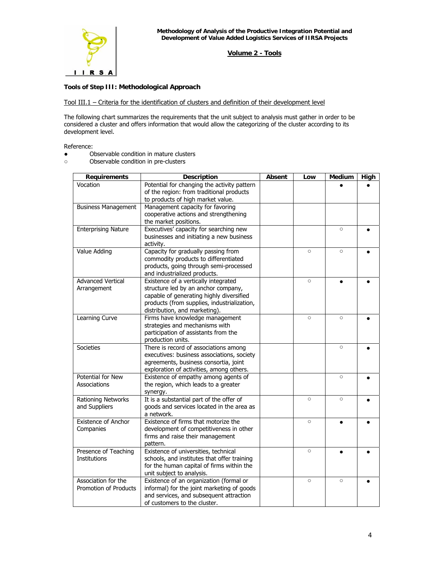

### **Tools of Step III: Methodological Approach**

### Tool III.1 – Criteria for the identification of clusters and definition of their development level

The following chart summarizes the requirements that the unit subject to analysis must gather in order to be considered a cluster and offers information that would allow the categorizing of the cluster according to its development level.

Reference:

- Observable condition in mature clusters
- Observable condition in pre-clusters

| <b>Requirements</b>                          | <b>Description</b>                                                                                                                                                                                      | Absent | Low     | Medium  | High |
|----------------------------------------------|---------------------------------------------------------------------------------------------------------------------------------------------------------------------------------------------------------|--------|---------|---------|------|
| Vocation                                     | Potential for changing the activity pattern<br>of the region: from traditional products<br>to products of high market value.                                                                            |        |         |         |      |
| <b>Business Management</b>                   | Management capacity for favoring<br>cooperative actions and strengthening<br>the market positions.                                                                                                      |        |         |         |      |
| <b>Enterprising Nature</b>                   | Executives' capacity for searching new<br>businesses and initiating a new business<br>activity.                                                                                                         |        |         | $\circ$ |      |
| Value Adding                                 | Capacity for gradually passing from<br>commodity products to differentiated<br>products, going through semi-processed<br>and industrialized products.                                                   |        | $\circ$ | $\circ$ |      |
| <b>Advanced Vertical</b><br>Arrangement      | Existence of a vertically integrated<br>structure led by an anchor company,<br>capable of generating highly diversified<br>products (from supplies, industrialization,<br>distribution, and marketing). |        | $\circ$ |         |      |
| Learning Curve                               | Firms have knowledge management<br>strategies and mechanisms with<br>participation of assistants from the<br>production units.                                                                          |        | $\circ$ | $\circ$ |      |
| Societies                                    | There is record of associations among<br>executives: business associations, society<br>agreements, business consortia, joint<br>exploration of activities, among others.                                |        |         | $\circ$ |      |
| Potential for New<br>Associations            | Existence of empathy among agents of<br>the region, which leads to a greater<br>synergy.                                                                                                                |        |         | $\circ$ |      |
| Rationing Networks<br>and Suppliers          | It is a substantial part of the offer of<br>goods and services located in the area as<br>a network.                                                                                                     |        | $\circ$ | $\circ$ |      |
| <b>Existence of Anchor</b><br>Companies      | Existence of firms that motorize the<br>development of competitiveness in other<br>firms and raise their management<br>pattern.                                                                         |        | $\circ$ |         |      |
| Presence of Teaching<br><b>Institutions</b>  | Existence of universities, technical<br>schools, and institutes that offer training<br>for the human capital of firms within the<br>unit subject to analysis.                                           |        | $\circ$ |         |      |
| Association for the<br>Promotion of Products | Existence of an organization (formal or<br>informal) for the joint marketing of goods<br>and services, and subsequent attraction<br>of customers to the cluster.                                        |        | $\circ$ | $\circ$ |      |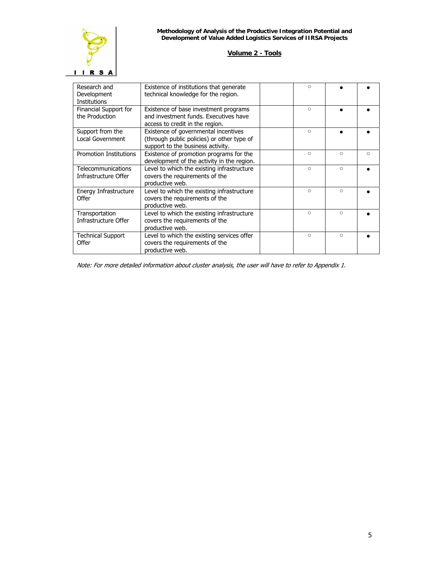

| Research and<br>Development<br><b>Institutions</b> | Existence of institutions that generate<br>technical knowledge for the region.                                          | $\circ$ |          |          |
|----------------------------------------------------|-------------------------------------------------------------------------------------------------------------------------|---------|----------|----------|
| Financial Support for<br>the Production            | Existence of base investment programs<br>and investment funds. Executives have<br>access to credit in the region.       | $\circ$ |          |          |
| Support from the<br><b>Local Government</b>        | Existence of governmental incentives<br>(through public policies) or other type of<br>support to the business activity. | $\circ$ |          |          |
| <b>Promotion Institutions</b>                      | Existence of promotion programs for the<br>development of the activity in the region.                                   | $\circ$ | $\circ$  | $\Omega$ |
| Telecommunications<br>Infrastructure Offer         | Level to which the existing infrastructure<br>covers the requirements of the<br>productive web.                         | $\circ$ | $\circ$  |          |
| Energy Infrastructure<br>Offer                     | Level to which the existing infrastructure<br>covers the requirements of the<br>productive web.                         | $\circ$ | $\circ$  |          |
| Transportation<br>Infrastructure Offer             | Level to which the existing infrastructure<br>covers the requirements of the<br>productive web.                         | $\cap$  | $\Omega$ |          |
| <b>Technical Support</b><br>Offer                  | Level to which the existing services offer<br>covers the requirements of the<br>productive web.                         | $\circ$ | $\Omega$ |          |

Note: For more detailed information about cluster analysis, the user will have to refer to Appendix 1.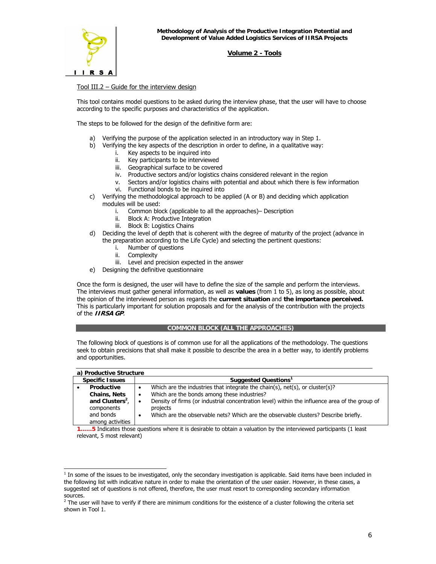

Tool III.2 – Guide for the interview design

This tool contains model questions to be asked during the interview phase, that the user will have to choose according to the specific purposes and characteristics of the application.

The steps to be followed for the design of the definitive form are:

- a) Verifying the purpose of the application selected in an introductory way in Step 1.
- b) Verifying the key aspects of the description in order to define, in a qualitative way:
	- i. Key aspects to be inquired into
	- ii. Key participants to be interviewed
	- iii. Geographical surface to be covered
	- iv. Productive sectors and/or logistics chains considered relevant in the region
	- v. Sectors and/or logistics chains with potential and about which there is few information vi. Functional bonds to be inquired into
- c) Verifying the methodological approach to be applied (A or B) and deciding which application modules will be used:
	- i. Common block (applicable to all the approaches)– Description
	- ii. Block A: Productive Integration
	- iii. Block B: Logistics Chains
- d) Deciding the level of depth that is coherent with the degree of maturity of the project (advance in the preparation according to the Life Cycle) and selecting the pertinent questions:
	- i. Number of questions
	- ii. Complexity
	- iii. Level and precision expected in the answer
- e) Designing the definitive questionnaire

Once the form is designed, the user will have to define the size of the sample and perform the interviews. The interviews must gather general information, as well as **values** (from 1 to 5), as long as possible, about the opinion of the interviewed person as regards the **current situation** and **the importance perceived.**  This is particularly important for solution proposals and for the analysis of the contribution with the projects of the **IIRSA GP**.

#### **COMMON BLOCK (ALL THE APPROACHES)**

The following block of questions is of common use for all the applications of the methodology. The questions seek to obtain precisions that shall make it possible to describe the area in a better way, to identify problems and opportunities.

|                        | a) Productive Structure                 |                                                                                                |  |  |
|------------------------|-----------------------------------------|------------------------------------------------------------------------------------------------|--|--|
| <b>Specific Issues</b> |                                         | Suggested Questions <sup>1</sup>                                                               |  |  |
|                        | Productive                              | Which are the industries that integrate the chain(s), net(s), or cluster(s)?                   |  |  |
|                        | <b>Chains, Nets</b>                     | Which are the bonds among these industries?<br>٠                                               |  |  |
|                        | and Clusters <sup>2</sup> , $\parallel$ | Density of firms (or industrial concentration level) within the influence area of the group of |  |  |
|                        | components                              | projects                                                                                       |  |  |
|                        | and bonds                               | Which are the observable nets? Which are the observable clusters? Describe briefly.            |  |  |
|                        | among activities                        |                                                                                                |  |  |

<span id="page-5-0"></span> 1 In some of the issues to be investigated, only the secondary investigation is applicable. Said items have been included in the following list with indicative nature in order to make the orientation of the user easier. However, in these cases, a suggested set of questions is not offered, therefore, the user must resort to corresponding secondary information sources.

<span id="page-5-1"></span> $^2$  The user will have to verify if there are minimum conditions for the existence of a cluster following the criteria set shown in Tool 1.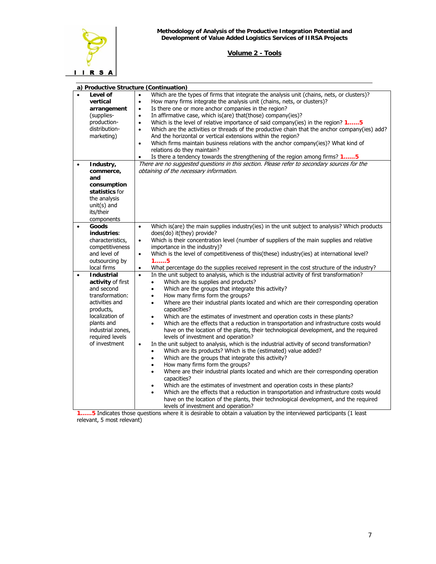

|           |                   | a) Productive Structure (Continuation)                                                                     |
|-----------|-------------------|------------------------------------------------------------------------------------------------------------|
| $\bullet$ | Level of          | Which are the types of firms that integrate the analysis unit (chains, nets, or clusters)?<br>$\bullet$    |
|           | vertical          | How many firms integrate the analysis unit (chains, nets, or clusters)?<br>$\bullet$                       |
|           | arrangement       | Is there one or more anchor companies in the region?<br>$\bullet$                                          |
|           | (supplies-        | In affirmative case, which is(are) that(those) company(ies)?<br>$\bullet$                                  |
|           | production-       | Which is the level of relative importance of said company(ies) in the region? 15<br>$\bullet$              |
|           | distribution-     | Which are the activities or threads of the productive chain that the anchor company(ies) add?<br>$\bullet$ |
|           | marketing)        | And the horizontal or vertical extensions within the region?                                               |
|           |                   | Which firms maintain business relations with the anchor company(ies)? What kind of<br>$\bullet$            |
|           |                   | relations do they maintain?                                                                                |
|           |                   | Is there a tendency towards the strengthening of the region among firms? 15<br>$\bullet$                   |
| $\bullet$ | Industry,         | There are no suggested questions in this section. Please refer to secondary sources for the                |
|           | commerce,         | obtaining of the necessary information.                                                                    |
|           | and               |                                                                                                            |
|           | consumption       |                                                                                                            |
|           | statistics for    |                                                                                                            |
|           | the analysis      |                                                                                                            |
|           | unit(s) and       |                                                                                                            |
|           | its/their         |                                                                                                            |
|           | components        |                                                                                                            |
| $\bullet$ | Goods             | Which is(are) the main supplies industry(ies) in the unit subject to analysis? Which products<br>$\bullet$ |
|           | industries:       | does(do) it(they) provide?                                                                                 |
|           | characteristics,  | Which is their concentration level (number of suppliers of the main supplies and relative<br>$\bullet$     |
|           | competitiveness   | importance in the industry)?                                                                               |
|           | and level of      | Which is the level of competitiveness of this(these) industry(ies) at international level?<br>$\bullet$    |
|           | outsourcing by    | $1, \ldots, 5$                                                                                             |
|           | local firms       | What percentage do the supplies received represent in the cost structure of the industry?<br>$\bullet$     |
| $\bullet$ | <b>Industrial</b> | In the unit subject to analysis, which is the industrial activity of first transformation?<br>$\bullet$    |
|           | activity of first | Which are its supplies and products?<br>$\bullet$                                                          |
|           | and second        | Which are the groups that integrate this activity?<br>$\bullet$                                            |
|           | transformation:   | How many firms form the groups?<br>$\bullet$                                                               |
|           | activities and    | Where are their industrial plants located and which are their corresponding operation<br>$\bullet$         |
|           | products,         | capacities?                                                                                                |
|           | localization of   | Which are the estimates of investment and operation costs in these plants?<br>$\bullet$                    |
|           | plants and        | Which are the effects that a reduction in transportation and infrastructure costs would                    |
|           | industrial zones, | have on the location of the plants, their technological development, and the required                      |
|           | required levels   | levels of investment and operation?                                                                        |
|           | of investment     | In the unit subject to analysis, which is the industrial activity of second transformation?<br>$\bullet$   |
|           |                   | Which are its products? Which is the (estimated) value added?<br>$\bullet$                                 |
|           |                   | Which are the groups that integrate this activity?<br>$\bullet$                                            |
|           |                   | How many firms form the groups?<br>$\bullet$                                                               |
|           |                   | Where are their industrial plants located and which are their corresponding operation<br>$\bullet$         |
|           |                   | capacities?                                                                                                |
|           |                   | Which are the estimates of investment and operation costs in these plants?<br>$\bullet$                    |
|           |                   | Which are the effects that a reduction in transportation and infrastructure costs would<br>$\bullet$       |
|           |                   | have on the location of the plants, their technological development, and the required                      |
|           |                   | levels of investment and operation?                                                                        |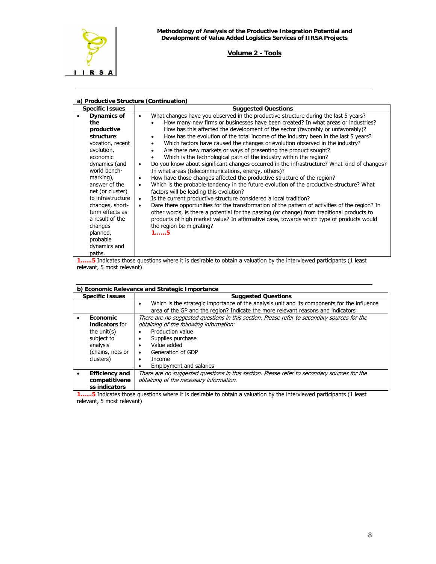

|                                                                                                                                                                                                                                                                                                                            | a) + Toddetive Structure (continuation)                                                                                                                                                                                                                                                                                                                                                                                                                                                                                                                                                                                                                                                                                                                                                                                                                                                                                                                                                                                                                                                                                                                                                                                                                                                                                                                                                                                                                                       |
|----------------------------------------------------------------------------------------------------------------------------------------------------------------------------------------------------------------------------------------------------------------------------------------------------------------------------|-------------------------------------------------------------------------------------------------------------------------------------------------------------------------------------------------------------------------------------------------------------------------------------------------------------------------------------------------------------------------------------------------------------------------------------------------------------------------------------------------------------------------------------------------------------------------------------------------------------------------------------------------------------------------------------------------------------------------------------------------------------------------------------------------------------------------------------------------------------------------------------------------------------------------------------------------------------------------------------------------------------------------------------------------------------------------------------------------------------------------------------------------------------------------------------------------------------------------------------------------------------------------------------------------------------------------------------------------------------------------------------------------------------------------------------------------------------------------------|
| <b>Specific Issues</b>                                                                                                                                                                                                                                                                                                     | <b>Suggested Questions</b>                                                                                                                                                                                                                                                                                                                                                                                                                                                                                                                                                                                                                                                                                                                                                                                                                                                                                                                                                                                                                                                                                                                                                                                                                                                                                                                                                                                                                                                    |
| Dynamics of<br>the<br>productive<br>structure:<br>vocation, recent<br>evolution,<br>economic<br>dynamics (and<br>world bench-<br>marking),<br>answer of the<br>net (or cluster)<br>to infrastructure<br>changes, short-<br>term effects as<br>a result of the<br>changes<br>planned,<br>probable<br>dynamics and<br>paths. | What changes have you observed in the productive structure during the last 5 years?<br>$\bullet$<br>How many new firms or businesses have been created? In what areas or industries?<br>٠<br>How has this affected the development of the sector (favorably or unfavorably)?<br>How has the evolution of the total income of the industry been in the last 5 years?<br>$\bullet$<br>Which factors have caused the changes or evolution observed in the industry?<br>Are there new markets or ways of presenting the product sought?<br>$\bullet$<br>Which is the technological path of the industry within the region?<br>Do you know about significant changes occurred in the infrastructure? What kind of changes?<br>$\bullet$<br>In what areas (telecommunications, energy, others)?<br>How have those changes affected the productive structure of the region?<br>$\bullet$<br>Which is the probable tendency in the future evolution of the productive structure? What<br>$\bullet$<br>factors will be leading this evolution?<br>Is the current productive structure considered a local tradition?<br>$\bullet$<br>Dare there opportunities for the transformation of the pattern of activities of the region? In<br>$\bullet$<br>other words, is there a potential for the passing (or change) from traditional products to<br>products of high market value? In affirmative case, towards which type of products would<br>the region be migrating?<br>$1. \dots .5$ |

### **a) Productive Structure (Continuation)**

**1……5** Indicates those questions where it is desirable to obtain a valuation by the interviewed participants (1 least relevant, 5 most relevant)

| b) Economic Relevance and Strategic Importance |                                                                                                                                                                                              |  |  |  |
|------------------------------------------------|----------------------------------------------------------------------------------------------------------------------------------------------------------------------------------------------|--|--|--|
| <b>Specific Issues</b>                         | <b>Suggested Questions</b>                                                                                                                                                                   |  |  |  |
|                                                | Which is the strategic importance of the analysis unit and its components for the influence<br>$\bullet$<br>area of the GP and the region? Indicate the more relevant reasons and indicators |  |  |  |
| Economic                                       | There are no suggested guestions in this section. Please refer to secondary sources for the                                                                                                  |  |  |  |
| indicators for                                 | obtaining of the following information:                                                                                                                                                      |  |  |  |
| the unit( $s$ )                                | Production value<br>٠                                                                                                                                                                        |  |  |  |
| subject to                                     | Supplies purchase<br>$\bullet$                                                                                                                                                               |  |  |  |
| analysis                                       | Value added<br>$\bullet$                                                                                                                                                                     |  |  |  |
| (chains, nets or                               | Generation of GDP<br>$\bullet$                                                                                                                                                               |  |  |  |
| clusters)                                      | Income<br>٠                                                                                                                                                                                  |  |  |  |
|                                                | Employment and salaries                                                                                                                                                                      |  |  |  |
| <b>Efficiency and</b>                          | There are no suggested guestions in this section. Please refer to secondary sources for the                                                                                                  |  |  |  |
| competitivene                                  | obtaining of the necessary information.                                                                                                                                                      |  |  |  |
| ss indicators                                  |                                                                                                                                                                                              |  |  |  |
|                                                |                                                                                                                                                                                              |  |  |  |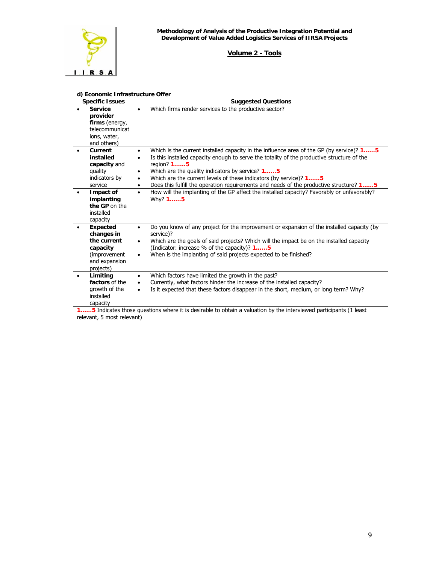

|   | d) Economic Infrastructure Offer                                                                        |                                                                                                                                                                                                                                                                                                                                                                                                                                                                                        |  |  |  |
|---|---------------------------------------------------------------------------------------------------------|----------------------------------------------------------------------------------------------------------------------------------------------------------------------------------------------------------------------------------------------------------------------------------------------------------------------------------------------------------------------------------------------------------------------------------------------------------------------------------------|--|--|--|
|   | <b>Specific Issues</b>                                                                                  | <b>Suggested Questions</b>                                                                                                                                                                                                                                                                                                                                                                                                                                                             |  |  |  |
|   | <b>Service</b><br>provider<br>firms (energy,<br>telecommunicat<br>ions, water,<br>and others)           | Which firms render services to the productive sector?<br>$\bullet$                                                                                                                                                                                                                                                                                                                                                                                                                     |  |  |  |
|   | Current<br>installed<br>capacity and<br>quality<br>indicators by<br>service                             | Which is the current installed capacity in the influence area of the GP (by service)? 15<br>$\bullet$<br>Is this installed capacity enough to serve the totality of the productive structure of the<br>$\bullet$<br>region? 15<br>Which are the quality indicators by service? 15<br>$\bullet$<br>Which are the current levels of these indicators (by service)? 15<br>$\bullet$<br>Does this fulfill the operation requirements and needs of the productive structure? 1<br>$\bullet$ |  |  |  |
| ٠ | Impact of<br>implanting<br>the GP on the<br>installed<br>capacity                                       | How will the implanting of the GP affect the installed capacity? Favorably or unfavorably?<br>$\bullet$<br>Why? 15                                                                                                                                                                                                                                                                                                                                                                     |  |  |  |
| ٠ | <b>Expected</b><br>changes in<br>the current<br>capacity<br>(improvement)<br>and expansion<br>projects) | Do you know of any project for the improvement or expansion of the installed capacity (by<br>$\bullet$<br>service)?<br>Which are the goals of said projects? Which will the impact be on the installed capacity<br>$\bullet$<br>(Indicator: increase % of the capacity)? 15<br>When is the implanting of said projects expected to be finished?<br>$\bullet$                                                                                                                           |  |  |  |
|   | Limiting<br>factors of the<br>growth of the<br>installed<br>capacity<br><b>PERMIT</b>                   | Which factors have limited the growth in the past?<br>$\bullet$<br>Currently, what factors hinder the increase of the installed capacity?<br>$\bullet$<br>Is it expected that these factors disappear in the short, medium, or long term? Why?<br>$\bullet$<br>that the collection is because the interesting of the collection of the collection that is<br>المستقط المطل<br>. 74 L                                                                                                   |  |  |  |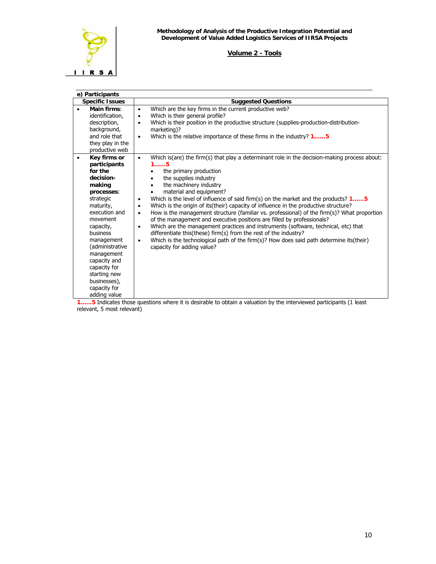

| e) Participants                                                                                                                                                                                                                                                                                             |                                                                                                                                                                                                                                                                                                                                                                                                                                                                                                                                                                                                                                                                                                                                                                                                                                                                                                                                                                                         |  |  |  |
|-------------------------------------------------------------------------------------------------------------------------------------------------------------------------------------------------------------------------------------------------------------------------------------------------------------|-----------------------------------------------------------------------------------------------------------------------------------------------------------------------------------------------------------------------------------------------------------------------------------------------------------------------------------------------------------------------------------------------------------------------------------------------------------------------------------------------------------------------------------------------------------------------------------------------------------------------------------------------------------------------------------------------------------------------------------------------------------------------------------------------------------------------------------------------------------------------------------------------------------------------------------------------------------------------------------------|--|--|--|
| <b>Specific Issues</b>                                                                                                                                                                                                                                                                                      | <b>Suggested Questions</b>                                                                                                                                                                                                                                                                                                                                                                                                                                                                                                                                                                                                                                                                                                                                                                                                                                                                                                                                                              |  |  |  |
| Main firms:<br>$\bullet$<br>identification,<br>description,<br>background,<br>and role that<br>they play in the<br>productive web                                                                                                                                                                           | Which are the key firms in the current productive web?<br>$\bullet$<br>Which is their general profile?<br>$\bullet$<br>Which is their position in the productive structure (supplies-production-distribution-<br>$\bullet$<br>marketing)?<br>Which is the relative importance of these firms in the industry? $1$<br>$\bullet$                                                                                                                                                                                                                                                                                                                                                                                                                                                                                                                                                                                                                                                          |  |  |  |
| Key firms or<br>participants<br>for the<br>decision-<br>making<br>processes:<br>strategic<br>maturity,<br>execution and<br>movement<br>capacity,<br>business<br>management<br>(administrative<br>management<br>capacity and<br>capacity for<br>starting new<br>businesses),<br>capacity for<br>adding value | Which is (are) the firm (s) that play a determinant role in the decision-making process about:<br>$\bullet$<br>$1, \ldots, 5$<br>the primary production<br>the supplies industry<br>٠<br>the machinery industry<br>$\bullet$<br>material and equipment?<br>$\bullet$<br>Which is the level of influence of said firm(s) on the market and the products? $1^{1}$ 5<br>$\bullet$<br>Which is the origin of its (their) capacity of influence in the productive structure?<br>$\bullet$<br>How is the management structure (familiar vs. professional) of the firm(s)? What proportion<br>$\bullet$<br>of the management and executive positions are filled by professionals?<br>Which are the management practices and instruments (software, technical, etc) that<br>$\bullet$<br>differentiate this(these) firm(s) from the rest of the industry?<br>Which is the technological path of the firm(s)? How does said path determine its(their)<br>$\bullet$<br>capacity for adding value? |  |  |  |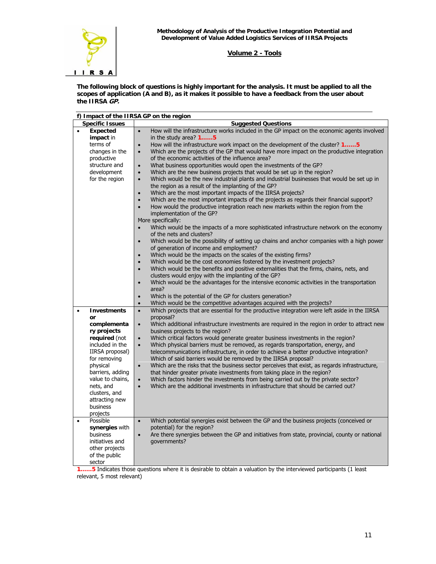

**The following block of questions is highly important for the analysis. It must be applied to all the scopes of application (A and B), as it makes it possible to have a feedback from the user about the IIRSA GP.**

| f) Impact of the IIRSA GP on the region                                                                                                                                                                                                                                       |                                                                                                                                                                                                                                                                                                                                                                                                                                                                                                                                                                                                                                                                                                                                                                                                                                                                                                                                                                                                                                                                                                                                                                                                                                                                                                                                                                                                                                                                                                                                                                                                                                                                                                                                                                                                                                 |  |  |
|-------------------------------------------------------------------------------------------------------------------------------------------------------------------------------------------------------------------------------------------------------------------------------|---------------------------------------------------------------------------------------------------------------------------------------------------------------------------------------------------------------------------------------------------------------------------------------------------------------------------------------------------------------------------------------------------------------------------------------------------------------------------------------------------------------------------------------------------------------------------------------------------------------------------------------------------------------------------------------------------------------------------------------------------------------------------------------------------------------------------------------------------------------------------------------------------------------------------------------------------------------------------------------------------------------------------------------------------------------------------------------------------------------------------------------------------------------------------------------------------------------------------------------------------------------------------------------------------------------------------------------------------------------------------------------------------------------------------------------------------------------------------------------------------------------------------------------------------------------------------------------------------------------------------------------------------------------------------------------------------------------------------------------------------------------------------------------------------------------------------------|--|--|
| <b>Specific Issues</b>                                                                                                                                                                                                                                                        | <b>Suggested Questions</b>                                                                                                                                                                                                                                                                                                                                                                                                                                                                                                                                                                                                                                                                                                                                                                                                                                                                                                                                                                                                                                                                                                                                                                                                                                                                                                                                                                                                                                                                                                                                                                                                                                                                                                                                                                                                      |  |  |
| <b>Expected</b><br>$\bullet$<br>impact in<br>terms of<br>changes in the<br>productive<br>structure and<br>development<br>for the region                                                                                                                                       | How will the infrastructure works included in the GP impact on the economic agents involved<br>$\bullet$<br>in the study area? $1$<br>How will the infrastructure work impact on the development of the cluster? 15<br>$\bullet$<br>Which are the projects of the GP that would have more impact on the productive integration<br>$\bullet$<br>of the economic activities of the influence area?<br>What business opportunities would open the investments of the GP?<br>$\bullet$<br>Which are the new business projects that would be set up in the region?<br>$\bullet$<br>Which would be the new industrial plants and industrial businesses that would be set up in<br>$\bullet$<br>the region as a result of the implanting of the GP?<br>Which are the most important impacts of the IIRSA projects?<br>$\bullet$<br>Which are the most important impacts of the projects as regards their financial support?<br>$\bullet$<br>How would the productive integration reach new markets within the region from the<br>implementation of the GP?<br>More specifically:<br>Which would be the impacts of a more sophisticated infrastructure network on the economy<br>$\bullet$<br>of the nets and clusters?<br>Which would be the possibility of setting up chains and anchor companies with a high power<br>$\bullet$<br>of generation of income and employment?<br>Which would be the impacts on the scales of the existing firms?<br>$\bullet$<br>Which would be the cost economies fostered by the investment projects?<br>$\bullet$<br>Which would be the benefits and positive externalities that the firms, chains, nets, and<br>$\bullet$<br>clusters would enjoy with the implanting of the GP?<br>Which would be the advantages for the intensive economic activities in the transportation<br>$\bullet$<br>area? |  |  |
|                                                                                                                                                                                                                                                                               | Which is the potential of the GP for clusters generation?<br>Which would be the competitive advantages acquired with the projects?<br>$\bullet$                                                                                                                                                                                                                                                                                                                                                                                                                                                                                                                                                                                                                                                                                                                                                                                                                                                                                                                                                                                                                                                                                                                                                                                                                                                                                                                                                                                                                                                                                                                                                                                                                                                                                 |  |  |
| <b>Investments</b><br>$\bullet$<br><b>or</b><br>complementa<br>ry projects<br>required (not<br>included in the<br>IIRSA proposal)<br>for removing<br>physical<br>barriers, adding<br>value to chains,<br>nets, and<br>clusters, and<br>attracting new<br>business<br>projects | Which projects that are essential for the productive integration were left aside in the IIRSA<br>$\bullet$<br>proposal?<br>Which additional infrastructure investments are required in the region in order to attract new<br>$\bullet$<br>business projects to the region?<br>Which critical factors would generate greater business investments in the region?<br>$\bullet$<br>Which physical barriers must be removed, as regards transportation, energy, and<br>$\bullet$<br>telecommunications infrastructure, in order to achieve a better productive integration?<br>Which of said barriers would be removed by the IIRSA proposal?<br>Which are the risks that the business sector perceives that exist, as regards infrastructure,<br>$\bullet$<br>that hinder greater private investments from taking place in the region?<br>Which factors hinder the investments from being carried out by the private sector?<br>$\bullet$<br>Which are the additional investments in infrastructure that should be carried out?<br>$\bullet$                                                                                                                                                                                                                                                                                                                                                                                                                                                                                                                                                                                                                                                                                                                                                                                       |  |  |
| Possible<br>$\bullet$<br>synergies with<br>business<br>initiatives and<br>other projects<br>of the public<br>sector                                                                                                                                                           | Which potential synergies exist between the GP and the business projects (conceived or<br>$\bullet$<br>potential) for the region?<br>Are there synergies between the GP and initiatives from state, provincial, county or national<br>$\bullet$<br>qovernments?                                                                                                                                                                                                                                                                                                                                                                                                                                                                                                                                                                                                                                                                                                                                                                                                                                                                                                                                                                                                                                                                                                                                                                                                                                                                                                                                                                                                                                                                                                                                                                 |  |  |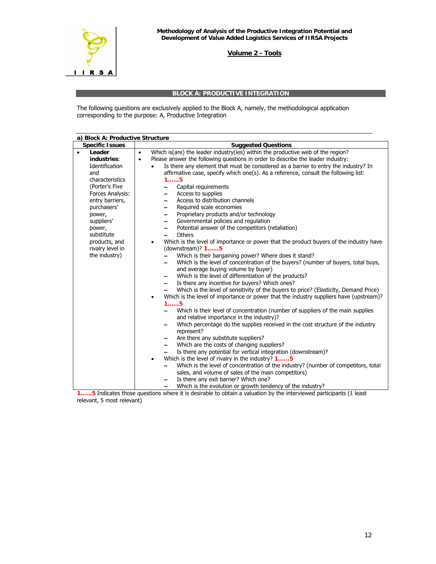

#### **BLOCK A: PRODUCTIVE INTEGRATION**

The following questions are exclusively applied to the Block A, namely, the methodological application corresponding to the purpose: A, Productive Integration

| a) Block A: Productive Structure                                                                                                                                                                                                                             |                                                                                                                                                                                                                                                                                                                                                                                                                                                                                                                                                                                                                                                                                                                                                                                                                                                                                                                                                                                                                                                                                                                                                                                                                                                                                                                                                                                                                                                                                                                                                                                                                                                                                                                                                                                                                                                                                           |  |  |
|--------------------------------------------------------------------------------------------------------------------------------------------------------------------------------------------------------------------------------------------------------------|-------------------------------------------------------------------------------------------------------------------------------------------------------------------------------------------------------------------------------------------------------------------------------------------------------------------------------------------------------------------------------------------------------------------------------------------------------------------------------------------------------------------------------------------------------------------------------------------------------------------------------------------------------------------------------------------------------------------------------------------------------------------------------------------------------------------------------------------------------------------------------------------------------------------------------------------------------------------------------------------------------------------------------------------------------------------------------------------------------------------------------------------------------------------------------------------------------------------------------------------------------------------------------------------------------------------------------------------------------------------------------------------------------------------------------------------------------------------------------------------------------------------------------------------------------------------------------------------------------------------------------------------------------------------------------------------------------------------------------------------------------------------------------------------------------------------------------------------------------------------------------------------|--|--|
| <b>Specific Issues</b>                                                                                                                                                                                                                                       | <b>Suggested Questions</b>                                                                                                                                                                                                                                                                                                                                                                                                                                                                                                                                                                                                                                                                                                                                                                                                                                                                                                                                                                                                                                                                                                                                                                                                                                                                                                                                                                                                                                                                                                                                                                                                                                                                                                                                                                                                                                                                |  |  |
| Leader<br>$\bullet$<br>industries:<br>Identification<br>and<br>characteristics<br>(Porter's Five<br>Forces Analysis:<br>entry barriers,<br>purchasers'<br>power,<br>suppliers'<br>power,<br>substitute<br>products, and<br>rivalry level in<br>the industry) | Which is(are) the leader industry(ies) within the productive web of the region?<br>$\bullet$<br>Please answer the following questions in order to describe the leader industry:<br>$\bullet$<br>Is there any element that must be considered as a barrier to entry the industry? In<br>$\bullet$<br>affirmative case, specify which one(s). As a reference, consult the following list:<br>$1, \ldots, 5$<br>$\overline{\phantom{0}}$<br>Capital requirements<br>Access to supplies<br>$\overline{\phantom{0}}$<br>Access to distribution channels<br>$\qquad \qquad -$<br>Required scale economies<br>$\qquad \qquad -$<br>Proprietary products and/or technology<br>$\qquad \qquad -$<br>Governmental policies and regulation<br>$\overline{\phantom{0}}$<br>Potential answer of the competitors (retaliation)<br>$\overline{\phantom{0}}$<br>Others<br>$\overline{\phantom{0}}$<br>Which is the level of importance or power that the product buyers of the industry have<br>$\bullet$<br>(downstream)? $1$ $5$<br>Which is their bargaining power? Where does it stand?<br>$\overline{\phantom{0}}$<br>Which is the level of concentration of the buyers? (number of buyers, total buys,<br>and average buying volume by buyer)<br>Which is the level of differentiation of the products?<br>Is there any incentive for buyers? Which ones?<br>$\qquad \qquad -$<br>Which is the level of sensitivity of the buyers to price? (Elasticity, Demand Price)<br>Which is the level of importance or power that the industry suppliers have (upstream)?<br>$\bullet$<br>$1, \ldots, 5$<br>Which is their level of concentration (number of suppliers of the main supplies<br>$\overline{\phantom{0}}$<br>and relative importance in the industry)?<br>Which percentage do the supplies received in the cost structure of the industry<br>represent?<br>Are there any substitute suppliers? |  |  |
|                                                                                                                                                                                                                                                              | Which are the costs of changing suppliers?<br>$\qquad \qquad -$<br>Is there any potential for vertical integration (downstream)?<br>Which is the level of rivalry in the industry? 15<br>$\bullet$<br>Which is the level of concentration of the industry? (number of competitors, total<br>sales, and volume of sales of the main competitors)<br>Is there any exit barrier? Which one?<br>Which is the evolution or growth tendency of the industry?                                                                                                                                                                                                                                                                                                                                                                                                                                                                                                                                                                                                                                                                                                                                                                                                                                                                                                                                                                                                                                                                                                                                                                                                                                                                                                                                                                                                                                    |  |  |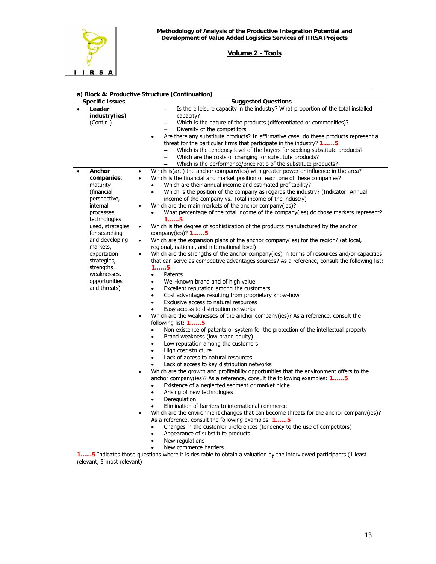

|           | a) Block A: Productive Structure (Continuation) |                                                                                                         |  |  |
|-----------|-------------------------------------------------|---------------------------------------------------------------------------------------------------------|--|--|
|           | <b>Specific Issues</b>                          | <b>Suggested Questions</b>                                                                              |  |  |
| $\bullet$ | Leader                                          | Is there leisure capacity in the industry? What proportion of the total installed                       |  |  |
|           | industry(ies)                                   | capacity?                                                                                               |  |  |
|           | (Contin.)                                       | Which is the nature of the products (differentiated or commodities)?<br>$\overline{\phantom{0}}$        |  |  |
|           |                                                 | Diversity of the competitors                                                                            |  |  |
|           |                                                 | Are there any substitute products? In affirmative case, do these products represent a<br>$\bullet$      |  |  |
|           |                                                 | threat for the particular firms that participate in the industry? 15                                    |  |  |
|           |                                                 | Which is the tendency level of the buyers for seeking substitute products?                              |  |  |
|           |                                                 | Which are the costs of changing for substitute products?<br>$\overline{\phantom{0}}$                    |  |  |
|           |                                                 | Which is the performance/price ratio of the substitute products?                                        |  |  |
| $\bullet$ | Anchor                                          | Which is(are) the anchor company(ies) with greater power or influence in the area?<br>$\bullet$         |  |  |
|           | companies:                                      | Which is the financial and market position of each one of these companies?<br>$\bullet$                 |  |  |
|           | maturity                                        | Which are their annual income and estimated profitability?<br>$\bullet$                                 |  |  |
|           | (financial                                      | Which is the position of the company as regards the industry? (Indicator: Annual<br>$\bullet$           |  |  |
|           | perspective,                                    | income of the company vs. Total income of the industry)                                                 |  |  |
|           | internal                                        | Which are the main markets of the anchor company(ies)?<br>$\bullet$                                     |  |  |
|           | processes,                                      | What percentage of the total income of the company(ies) do those markets represent?                     |  |  |
|           | technologies                                    | 15                                                                                                      |  |  |
|           | used, strategies                                | Which is the degree of sophistication of the products manufactured by the anchor<br>$\bullet$           |  |  |
|           | for searching                                   | company(ies)? $1$                                                                                       |  |  |
|           | and developing                                  | Which are the expansion plans of the anchor company(ies) for the region? (at local,<br>$\bullet$        |  |  |
|           | markets,                                        | regional, national, and international level)                                                            |  |  |
|           | exportation                                     | Which are the strengths of the anchor company(ies) in terms of resources and/or capacities<br>$\bullet$ |  |  |
|           | strategies,                                     | that can serve as competitive advantages sources? As a reference, consult the following list:           |  |  |
|           | strengths,                                      | $1, \ldots, 5$                                                                                          |  |  |
|           | weaknesses,                                     | Patents<br>$\bullet$                                                                                    |  |  |
|           | opportunities                                   | Well-known brand and of high value<br>$\bullet$                                                         |  |  |
|           | and threats)                                    | Excellent reputation among the customers<br>$\bullet$                                                   |  |  |
|           |                                                 | Cost advantages resulting from proprietary know-how<br>$\bullet$                                        |  |  |
|           |                                                 | Exclusive access to natural resources<br>$\bullet$                                                      |  |  |
|           |                                                 | Easy access to distribution networks<br>$\bullet$                                                       |  |  |
|           |                                                 | Which are the weaknesses of the anchor company(ies)? As a reference, consult the<br>$\bullet$           |  |  |
|           |                                                 | following list: 15                                                                                      |  |  |
|           |                                                 | Non existence of patents or system for the protection of the intellectual property<br>$\bullet$         |  |  |
|           |                                                 | Brand weakness (low brand equity)<br>$\bullet$                                                          |  |  |
|           |                                                 | Low reputation among the customers<br>$\bullet$                                                         |  |  |
|           |                                                 | High cost structure<br>$\bullet$                                                                        |  |  |
|           |                                                 | Lack of access to natural resources<br>$\bullet$                                                        |  |  |
|           |                                                 | Lack of access to key distribution networks<br>$\bullet$                                                |  |  |
|           |                                                 | Which are the growth and profitability opportunities that the environment offers to the<br>$\bullet$    |  |  |
|           |                                                 | anchor company(ies)? As a reference, consult the following examples: 15                                 |  |  |
|           |                                                 | Existence of a neglected segment or market niche<br>$\bullet$                                           |  |  |
|           |                                                 | Arising of new technologies<br>$\bullet$                                                                |  |  |
|           |                                                 | Deregulation<br>$\bullet$                                                                               |  |  |
|           |                                                 | Elimination of barriers to international commerce<br>$\bullet$                                          |  |  |
|           |                                                 | Which are the environment changes that can become threats for the anchor company(ies)?<br>$\bullet$     |  |  |
|           |                                                 | As a reference, consult the following examples: 15                                                      |  |  |
|           |                                                 | Changes in the customer preferences (tendency to the use of competitors)<br>$\bullet$                   |  |  |
|           |                                                 | Appearance of substitute products<br>$\bullet$                                                          |  |  |
|           |                                                 | New regulations<br>$\bullet$                                                                            |  |  |
|           |                                                 | New commerce barriers<br>$\bullet$                                                                      |  |  |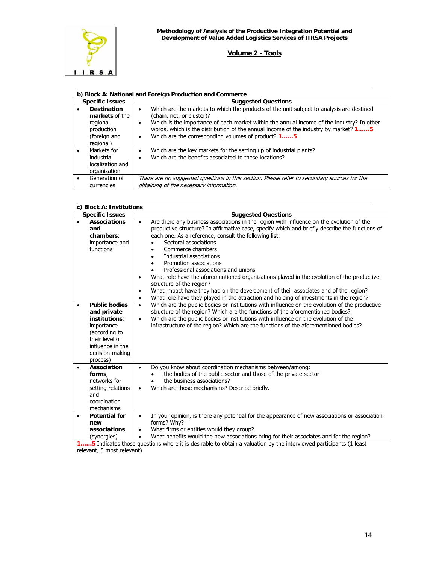

| b) Block A: National and Foreign Production and Commerce                                    |                                                                                                                                                                                                                                                                                                                                                                          |  |  |  |
|---------------------------------------------------------------------------------------------|--------------------------------------------------------------------------------------------------------------------------------------------------------------------------------------------------------------------------------------------------------------------------------------------------------------------------------------------------------------------------|--|--|--|
| <b>Specific Issues</b>                                                                      | <b>Suggested Questions</b>                                                                                                                                                                                                                                                                                                                                               |  |  |  |
| <b>Destination</b><br>markets of the<br>regional<br>production<br>(foreign and<br>regional) | Which are the markets to which the products of the unit subject to analysis are destined<br>٠<br>(chain, net, or cluster)?<br>Which is the importance of each market within the annual income of the industry? In other<br>٠<br>words, which is the distribution of the annual income of the industry by market? 15<br>Which are the corresponding volumes of product? 1 |  |  |  |
| Markets for<br>industrial<br>localization and<br>organization                               | Which are the key markets for the setting up of industrial plants?<br>٠<br>Which are the benefits associated to these locations?                                                                                                                                                                                                                                         |  |  |  |
| Generation of<br>currencies                                                                 | There are no suggested guestions in this section. Please refer to secondary sources for the<br>obtaining of the necessary information.                                                                                                                                                                                                                                   |  |  |  |

|                                                                                                                                                                                                                                                                                                                                                                              | c) Block A: Institutions                                                                                                                                 |                                                                                                                                                                                                                                                                                                                                                                                                                                                                          |  |
|------------------------------------------------------------------------------------------------------------------------------------------------------------------------------------------------------------------------------------------------------------------------------------------------------------------------------------------------------------------------------|----------------------------------------------------------------------------------------------------------------------------------------------------------|--------------------------------------------------------------------------------------------------------------------------------------------------------------------------------------------------------------------------------------------------------------------------------------------------------------------------------------------------------------------------------------------------------------------------------------------------------------------------|--|
|                                                                                                                                                                                                                                                                                                                                                                              | <b>Specific Issues</b>                                                                                                                                   | <b>Suggested Questions</b>                                                                                                                                                                                                                                                                                                                                                                                                                                               |  |
| <b>Associations</b><br>$\bullet$<br>$\bullet$<br>and<br>each one. As a reference, consult the following list:<br>chambers:<br>Sectoral associations<br>importance and<br>functions<br>Commerce chambers<br>Industrial associations<br>Promotion associations<br>$\bullet$<br>Professional associations and unions<br>٠<br>structure of the region?<br>$\bullet$<br>$\bullet$ |                                                                                                                                                          | Are there any business associations in the region with influence on the evolution of the<br>productive structure? In affirmative case, specify which and briefly describe the functions of<br>What role have the aforementioned organizations played in the evolution of the productive<br>What impact have they had on the development of their associates and of the region?<br>What role have they played in the attraction and holding of investments in the region? |  |
|                                                                                                                                                                                                                                                                                                                                                                              | <b>Public bodies</b><br>and private<br>institutions:<br>importance<br>(according to<br>their level of<br>influence in the<br>decision-making<br>process) | Which are the public bodies or institutions with influence on the evolution of the productive<br>$\bullet$<br>structure of the region? Which are the functions of the aforementioned bodies?<br>Which are the public bodies or institutions with influence on the evolution of the<br>٠<br>infrastructure of the region? Which are the functions of the aforementioned bodies?                                                                                           |  |
|                                                                                                                                                                                                                                                                                                                                                                              | Association<br>forms,<br>networks for<br>setting relations<br>and<br>coordination<br>mechanisms                                                          | Do you know about coordination mechanisms between/among:<br>$\bullet$<br>the bodies of the public sector and those of the private sector<br>the business associations?<br>Which are those mechanisms? Describe briefly.<br>$\bullet$                                                                                                                                                                                                                                     |  |
| $\bullet$                                                                                                                                                                                                                                                                                                                                                                    | <b>Potential for</b><br>new<br>associations<br>(synergies)<br>- - -                                                                                      | In your opinion, is there any potential for the appearance of new associations or association<br>$\bullet$<br>forms? Why?<br>What firms or entities would they group?<br>What benefits would the new associations bring for their associates and for the region?<br>the contract of the contract of the contract of the contract of the contract of the contract of the contract of                                                                                      |  |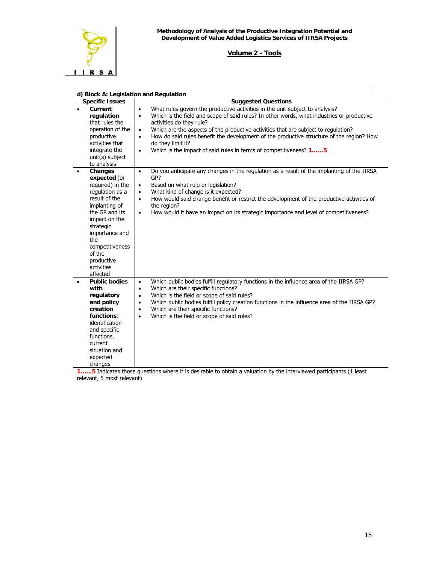

| d) Block A: Legislation and Regulation                                                                                                                                                                                                                      |                                                                                                                                                                                                                                                                                                                                                                                                                                                                                                                                                    |  |  |  |
|-------------------------------------------------------------------------------------------------------------------------------------------------------------------------------------------------------------------------------------------------------------|----------------------------------------------------------------------------------------------------------------------------------------------------------------------------------------------------------------------------------------------------------------------------------------------------------------------------------------------------------------------------------------------------------------------------------------------------------------------------------------------------------------------------------------------------|--|--|--|
| <b>Specific Issues</b>                                                                                                                                                                                                                                      | <b>Suggested Questions</b>                                                                                                                                                                                                                                                                                                                                                                                                                                                                                                                         |  |  |  |
| Current<br>$\bullet$<br>regulation<br>that rules the<br>operation of the<br>productive<br>activities that<br>integrate the<br>$unit(s)$ subject<br>to analysis                                                                                              | What rules govern the productive activities in the unit subject to analysis?<br>$\bullet$<br>Which is the field and scope of said rules? In other words, what industries or productive<br>$\bullet$<br>activities do they rule?<br>Which are the aspects of the productive activities that are subject to regulation?<br>$\bullet$<br>How do said rules benefit the development of the productive structure of the region? How<br>$\bullet$<br>do they limit it?<br>Which is the impact of said rules in terms of competitiveness? 15<br>$\bullet$ |  |  |  |
| Changes<br>$\bullet$<br>expected (or<br>required) in the<br>regulation as a<br>result of the<br>implanting of<br>the GP and its<br>impact on the<br>strategic<br>importance and<br>the<br>competitiveness<br>of the<br>productive<br>activities<br>affected | Do you anticipate any changes in the regulation as a result of the implanting of the IIRSA<br>$\bullet$<br>GP?<br>Based on what rule or legislation?<br>What kind of change is it expected?<br>$\bullet$<br>How would said change benefit or restrict the development of the productive activities of<br>$\bullet$<br>the region?<br>How would it have an impact on its strategic importance and level of competitiveness?<br>$\bullet$                                                                                                            |  |  |  |
| <b>Public bodies</b><br>$\bullet$<br>with<br>regulatory<br>and policy<br>creation<br>functions:<br>identification<br>and specific<br>functions,<br>current<br>situation and<br>expected<br>changes<br>$-7.45$                                               | Which public bodies fulfill regulatory functions in the influence area of the IIRSA GP?<br>$\bullet$<br>Which are their specific functions?<br>$\bullet$<br>Which is the field or scope of said rules?<br>$\bullet$<br>Which public bodies fulfill policy creation functions in the influence area of the IIRSA GP?<br>$\bullet$<br>Which are their specific functions?<br>$\bullet$<br>Which is the field or scope of said rules?<br>$\bullet$<br>$\overline{1}$                                                                                  |  |  |  |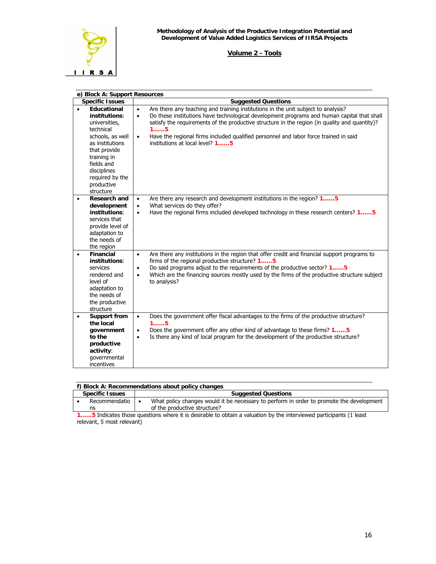

|                        | e) Block A: Support Resources                                                                                                                                                                               |                                                                                                                                                                                                                                                                                                                                                                                                                                                                      |  |  |  |
|------------------------|-------------------------------------------------------------------------------------------------------------------------------------------------------------------------------------------------------------|----------------------------------------------------------------------------------------------------------------------------------------------------------------------------------------------------------------------------------------------------------------------------------------------------------------------------------------------------------------------------------------------------------------------------------------------------------------------|--|--|--|
| <b>Specific Issues</b> |                                                                                                                                                                                                             | <b>Suggested Questions</b>                                                                                                                                                                                                                                                                                                                                                                                                                                           |  |  |  |
| $\bullet$              | Educational<br>institutions:<br>universities,<br>technical<br>schools, as well<br>as institutions<br>that provide<br>training in<br>fields and<br>disciplines<br>required by the<br>productive<br>structure | Are there any teaching and training institutions in the unit subject to analysis?<br>$\bullet$<br>Do these institutions have technological development programs and human capital that shall<br>$\bullet$<br>satisfy the requirements of the productive structure in the region (in quality and quantity)?<br>$1, \ldots, 5$<br>Have the regional firms included qualified personnel and labor force trained in said<br>$\bullet$<br>institutions at local level? 15 |  |  |  |
| $\bullet$              | <b>Research and</b><br>development<br>institutions:<br>services that<br>provide level of<br>adaptation to<br>the needs of<br>the region                                                                     | Are there any research and development institutions in the region? 1 5<br>$\bullet$<br>What services do they offer?<br>$\bullet$<br>Have the regional firms included developed technology in these research centers? 15<br>$\bullet$                                                                                                                                                                                                                                 |  |  |  |
| $\bullet$              | <b>Financial</b><br>institutions:<br>services<br>rendered and<br>level of<br>adaptation to<br>the needs of<br>the productive<br>structure                                                                   | Are there any institutions in the region that offer credit and financial support programs to<br>$\bullet$<br>firms of the regional productive structure? 15<br>Do said programs adjust to the requirements of the productive sector? 15<br>$\bullet$<br>Which are the financing sources mostly used by the firms of the productive structure subject<br>$\bullet$<br>to analysis?                                                                                    |  |  |  |
| $\bullet$              | Support from<br>the local<br>government<br>to the<br>productive<br>activity:<br>qovernmental<br>incentives                                                                                                  | Does the government offer fiscal advantages to the firms of the productive structure?<br>$\bullet$<br>1, , 5<br>Does the government offer any other kind of advantage to these firms? 1<br>$\bullet$<br>Is there any kind of local program for the development of the productive structure?<br>$\bullet$                                                                                                                                                             |  |  |  |

|                        | f) Block A: Recommendations about policy changes |  |                                                                                                                  |  |  |
|------------------------|--------------------------------------------------|--|------------------------------------------------------------------------------------------------------------------|--|--|
| <b>Specific Issues</b> |                                                  |  | <b>Suggested Questions</b>                                                                                       |  |  |
|                        | Recommendatio                                    |  | What policy changes would it be necessary to perform in order to promote the development                         |  |  |
|                        | ns                                               |  | of the productive structure?                                                                                     |  |  |
|                        |                                                  |  | E Indicator those questions where it is desirable to obtain a valuation by the interviewed participants (1 least |  |  |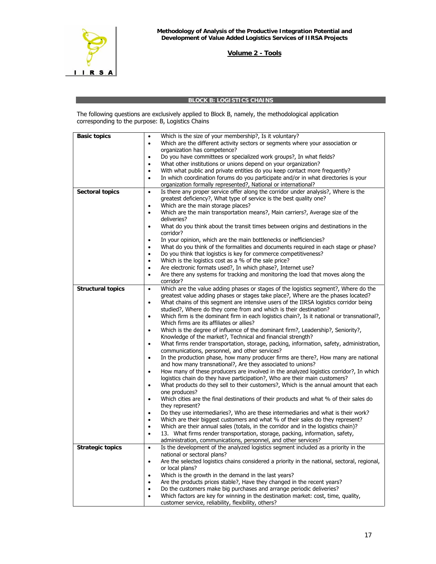

### **BLOCK B: LOGISTICS CHAINS**

The following questions are exclusively applied to Block B, namely, the methodological application corresponding to the purpose: B, Logistics Chains

| <b>Basic topics</b><br>Which is the size of your membership?, Is it voluntary?<br>$\bullet$<br>Which are the different activity sectors or segments where your association or<br>$\bullet$<br>organization has competence?<br>Do you have committees or specialized work groups?, In what fields?<br>$\bullet$<br>What other institutions or unions depend on your organization?<br>$\bullet$<br>With what public and private entities do you keep contact more frequently?<br>$\bullet$<br>In which coordination forums do you participate and/or in what directories is your<br>$\bullet$<br>organization formally represented?, National or international?<br>Sectoral topics<br>Is there any proper service offer along the corridor under analysis?, Where is the<br>$\bullet$<br>greatest deficiency?, What type of service is the best quality one?<br>Which are the main storage places?<br>$\bullet$<br>Which are the main transportation means?, Main carriers?, Average size of the<br>$\bullet$<br>deliveries?<br>What do you think about the transit times between origins and destinations in the<br>$\bullet$<br>corridor?<br>In your opinion, which are the main bottlenecks or inefficiencies?<br>$\bullet$<br>What do you think of the formalities and documents required in each stage or phase?<br>$\bullet$<br>Do you think that logistics is key for commerce competitiveness?<br>$\bullet$<br>Which is the logistics cost as a % of the sale price?<br>$\bullet$<br>Are electronic formats used?, In which phase?, Internet use?<br>$\bullet$<br>Are there any systems for tracking and monitoring the load that moves along the<br>$\bullet$<br>corridor?<br>Which are the value adding phases or stages of the logistics segment?, Where do the<br><b>Structural topics</b><br>$\bullet$<br>greatest value adding phases or stages take place?, Where are the phases located?<br>What chains of this segment are intensive users of the IIRSA logistics corridor being<br>$\bullet$<br>studied?, Where do they come from and which is their destination?<br>Which firm is the dominant firm in each logistics chain?, Is it national or transnational?,<br>$\bullet$<br>Which firms are its affiliates or allies?<br>Which is the degree of influence of the dominant firm?, Leadership?, Seniority?,<br>$\bullet$<br>Knowledge of the market?, Technical and financial strength?<br>What firms render transportation, storage, packing, information, safety, administration,<br>$\bullet$<br>communications, personnel, and other services?<br>In the production phase, how many producer firms are there?, How many are national<br>$\bullet$<br>and how many transnational?, Are they associated to unions?<br>How many of these producers are involved in the analyzed logistics corridor?, In which<br>$\bullet$<br>logistics chain do they have participation?, Who are their main customers?<br>What products do they sell to their customers?, Which is the annual amount that each<br>$\bullet$<br>one produces?<br>Which cities are the final destinations of their products and what % of their sales do<br>$\bullet$<br>they represent?<br>Do they use intermediaries?, Who are these intermediaries and what is their work?<br>Which are their biggest customers and what % of their sales do they represent?<br>$\bullet$<br>Which are their annual sales (totals, in the corridor and in the logistics chain)?<br>$\bullet$ |
|---------------------------------------------------------------------------------------------------------------------------------------------------------------------------------------------------------------------------------------------------------------------------------------------------------------------------------------------------------------------------------------------------------------------------------------------------------------------------------------------------------------------------------------------------------------------------------------------------------------------------------------------------------------------------------------------------------------------------------------------------------------------------------------------------------------------------------------------------------------------------------------------------------------------------------------------------------------------------------------------------------------------------------------------------------------------------------------------------------------------------------------------------------------------------------------------------------------------------------------------------------------------------------------------------------------------------------------------------------------------------------------------------------------------------------------------------------------------------------------------------------------------------------------------------------------------------------------------------------------------------------------------------------------------------------------------------------------------------------------------------------------------------------------------------------------------------------------------------------------------------------------------------------------------------------------------------------------------------------------------------------------------------------------------------------------------------------------------------------------------------------------------------------------------------------------------------------------------------------------------------------------------------------------------------------------------------------------------------------------------------------------------------------------------------------------------------------------------------------------------------------------------------------------------------------------------------------------------------------------------------------------------------------------------------------------------------------------------------------------------------------------------------------------------------------------------------------------------------------------------------------------------------------------------------------------------------------------------------------------------------------------------------------------------------------------------------------------------------------------------------------------------------------------------------------------------------------------------------------------------------------------------------------------------------------------------------------------------------------------------------------------------------------------------------------------------------------------------|
|                                                                                                                                                                                                                                                                                                                                                                                                                                                                                                                                                                                                                                                                                                                                                                                                                                                                                                                                                                                                                                                                                                                                                                                                                                                                                                                                                                                                                                                                                                                                                                                                                                                                                                                                                                                                                                                                                                                                                                                                                                                                                                                                                                                                                                                                                                                                                                                                                                                                                                                                                                                                                                                                                                                                                                                                                                                                                                                                                                                                                                                                                                                                                                                                                                                                                                                                                                                                                                                                     |
|                                                                                                                                                                                                                                                                                                                                                                                                                                                                                                                                                                                                                                                                                                                                                                                                                                                                                                                                                                                                                                                                                                                                                                                                                                                                                                                                                                                                                                                                                                                                                                                                                                                                                                                                                                                                                                                                                                                                                                                                                                                                                                                                                                                                                                                                                                                                                                                                                                                                                                                                                                                                                                                                                                                                                                                                                                                                                                                                                                                                                                                                                                                                                                                                                                                                                                                                                                                                                                                                     |
|                                                                                                                                                                                                                                                                                                                                                                                                                                                                                                                                                                                                                                                                                                                                                                                                                                                                                                                                                                                                                                                                                                                                                                                                                                                                                                                                                                                                                                                                                                                                                                                                                                                                                                                                                                                                                                                                                                                                                                                                                                                                                                                                                                                                                                                                                                                                                                                                                                                                                                                                                                                                                                                                                                                                                                                                                                                                                                                                                                                                                                                                                                                                                                                                                                                                                                                                                                                                                                                                     |
|                                                                                                                                                                                                                                                                                                                                                                                                                                                                                                                                                                                                                                                                                                                                                                                                                                                                                                                                                                                                                                                                                                                                                                                                                                                                                                                                                                                                                                                                                                                                                                                                                                                                                                                                                                                                                                                                                                                                                                                                                                                                                                                                                                                                                                                                                                                                                                                                                                                                                                                                                                                                                                                                                                                                                                                                                                                                                                                                                                                                                                                                                                                                                                                                                                                                                                                                                                                                                                                                     |
|                                                                                                                                                                                                                                                                                                                                                                                                                                                                                                                                                                                                                                                                                                                                                                                                                                                                                                                                                                                                                                                                                                                                                                                                                                                                                                                                                                                                                                                                                                                                                                                                                                                                                                                                                                                                                                                                                                                                                                                                                                                                                                                                                                                                                                                                                                                                                                                                                                                                                                                                                                                                                                                                                                                                                                                                                                                                                                                                                                                                                                                                                                                                                                                                                                                                                                                                                                                                                                                                     |
|                                                                                                                                                                                                                                                                                                                                                                                                                                                                                                                                                                                                                                                                                                                                                                                                                                                                                                                                                                                                                                                                                                                                                                                                                                                                                                                                                                                                                                                                                                                                                                                                                                                                                                                                                                                                                                                                                                                                                                                                                                                                                                                                                                                                                                                                                                                                                                                                                                                                                                                                                                                                                                                                                                                                                                                                                                                                                                                                                                                                                                                                                                                                                                                                                                                                                                                                                                                                                                                                     |
|                                                                                                                                                                                                                                                                                                                                                                                                                                                                                                                                                                                                                                                                                                                                                                                                                                                                                                                                                                                                                                                                                                                                                                                                                                                                                                                                                                                                                                                                                                                                                                                                                                                                                                                                                                                                                                                                                                                                                                                                                                                                                                                                                                                                                                                                                                                                                                                                                                                                                                                                                                                                                                                                                                                                                                                                                                                                                                                                                                                                                                                                                                                                                                                                                                                                                                                                                                                                                                                                     |
|                                                                                                                                                                                                                                                                                                                                                                                                                                                                                                                                                                                                                                                                                                                                                                                                                                                                                                                                                                                                                                                                                                                                                                                                                                                                                                                                                                                                                                                                                                                                                                                                                                                                                                                                                                                                                                                                                                                                                                                                                                                                                                                                                                                                                                                                                                                                                                                                                                                                                                                                                                                                                                                                                                                                                                                                                                                                                                                                                                                                                                                                                                                                                                                                                                                                                                                                                                                                                                                                     |
|                                                                                                                                                                                                                                                                                                                                                                                                                                                                                                                                                                                                                                                                                                                                                                                                                                                                                                                                                                                                                                                                                                                                                                                                                                                                                                                                                                                                                                                                                                                                                                                                                                                                                                                                                                                                                                                                                                                                                                                                                                                                                                                                                                                                                                                                                                                                                                                                                                                                                                                                                                                                                                                                                                                                                                                                                                                                                                                                                                                                                                                                                                                                                                                                                                                                                                                                                                                                                                                                     |
|                                                                                                                                                                                                                                                                                                                                                                                                                                                                                                                                                                                                                                                                                                                                                                                                                                                                                                                                                                                                                                                                                                                                                                                                                                                                                                                                                                                                                                                                                                                                                                                                                                                                                                                                                                                                                                                                                                                                                                                                                                                                                                                                                                                                                                                                                                                                                                                                                                                                                                                                                                                                                                                                                                                                                                                                                                                                                                                                                                                                                                                                                                                                                                                                                                                                                                                                                                                                                                                                     |
|                                                                                                                                                                                                                                                                                                                                                                                                                                                                                                                                                                                                                                                                                                                                                                                                                                                                                                                                                                                                                                                                                                                                                                                                                                                                                                                                                                                                                                                                                                                                                                                                                                                                                                                                                                                                                                                                                                                                                                                                                                                                                                                                                                                                                                                                                                                                                                                                                                                                                                                                                                                                                                                                                                                                                                                                                                                                                                                                                                                                                                                                                                                                                                                                                                                                                                                                                                                                                                                                     |
|                                                                                                                                                                                                                                                                                                                                                                                                                                                                                                                                                                                                                                                                                                                                                                                                                                                                                                                                                                                                                                                                                                                                                                                                                                                                                                                                                                                                                                                                                                                                                                                                                                                                                                                                                                                                                                                                                                                                                                                                                                                                                                                                                                                                                                                                                                                                                                                                                                                                                                                                                                                                                                                                                                                                                                                                                                                                                                                                                                                                                                                                                                                                                                                                                                                                                                                                                                                                                                                                     |
|                                                                                                                                                                                                                                                                                                                                                                                                                                                                                                                                                                                                                                                                                                                                                                                                                                                                                                                                                                                                                                                                                                                                                                                                                                                                                                                                                                                                                                                                                                                                                                                                                                                                                                                                                                                                                                                                                                                                                                                                                                                                                                                                                                                                                                                                                                                                                                                                                                                                                                                                                                                                                                                                                                                                                                                                                                                                                                                                                                                                                                                                                                                                                                                                                                                                                                                                                                                                                                                                     |
|                                                                                                                                                                                                                                                                                                                                                                                                                                                                                                                                                                                                                                                                                                                                                                                                                                                                                                                                                                                                                                                                                                                                                                                                                                                                                                                                                                                                                                                                                                                                                                                                                                                                                                                                                                                                                                                                                                                                                                                                                                                                                                                                                                                                                                                                                                                                                                                                                                                                                                                                                                                                                                                                                                                                                                                                                                                                                                                                                                                                                                                                                                                                                                                                                                                                                                                                                                                                                                                                     |
|                                                                                                                                                                                                                                                                                                                                                                                                                                                                                                                                                                                                                                                                                                                                                                                                                                                                                                                                                                                                                                                                                                                                                                                                                                                                                                                                                                                                                                                                                                                                                                                                                                                                                                                                                                                                                                                                                                                                                                                                                                                                                                                                                                                                                                                                                                                                                                                                                                                                                                                                                                                                                                                                                                                                                                                                                                                                                                                                                                                                                                                                                                                                                                                                                                                                                                                                                                                                                                                                     |
|                                                                                                                                                                                                                                                                                                                                                                                                                                                                                                                                                                                                                                                                                                                                                                                                                                                                                                                                                                                                                                                                                                                                                                                                                                                                                                                                                                                                                                                                                                                                                                                                                                                                                                                                                                                                                                                                                                                                                                                                                                                                                                                                                                                                                                                                                                                                                                                                                                                                                                                                                                                                                                                                                                                                                                                                                                                                                                                                                                                                                                                                                                                                                                                                                                                                                                                                                                                                                                                                     |
|                                                                                                                                                                                                                                                                                                                                                                                                                                                                                                                                                                                                                                                                                                                                                                                                                                                                                                                                                                                                                                                                                                                                                                                                                                                                                                                                                                                                                                                                                                                                                                                                                                                                                                                                                                                                                                                                                                                                                                                                                                                                                                                                                                                                                                                                                                                                                                                                                                                                                                                                                                                                                                                                                                                                                                                                                                                                                                                                                                                                                                                                                                                                                                                                                                                                                                                                                                                                                                                                     |
|                                                                                                                                                                                                                                                                                                                                                                                                                                                                                                                                                                                                                                                                                                                                                                                                                                                                                                                                                                                                                                                                                                                                                                                                                                                                                                                                                                                                                                                                                                                                                                                                                                                                                                                                                                                                                                                                                                                                                                                                                                                                                                                                                                                                                                                                                                                                                                                                                                                                                                                                                                                                                                                                                                                                                                                                                                                                                                                                                                                                                                                                                                                                                                                                                                                                                                                                                                                                                                                                     |
|                                                                                                                                                                                                                                                                                                                                                                                                                                                                                                                                                                                                                                                                                                                                                                                                                                                                                                                                                                                                                                                                                                                                                                                                                                                                                                                                                                                                                                                                                                                                                                                                                                                                                                                                                                                                                                                                                                                                                                                                                                                                                                                                                                                                                                                                                                                                                                                                                                                                                                                                                                                                                                                                                                                                                                                                                                                                                                                                                                                                                                                                                                                                                                                                                                                                                                                                                                                                                                                                     |
|                                                                                                                                                                                                                                                                                                                                                                                                                                                                                                                                                                                                                                                                                                                                                                                                                                                                                                                                                                                                                                                                                                                                                                                                                                                                                                                                                                                                                                                                                                                                                                                                                                                                                                                                                                                                                                                                                                                                                                                                                                                                                                                                                                                                                                                                                                                                                                                                                                                                                                                                                                                                                                                                                                                                                                                                                                                                                                                                                                                                                                                                                                                                                                                                                                                                                                                                                                                                                                                                     |
|                                                                                                                                                                                                                                                                                                                                                                                                                                                                                                                                                                                                                                                                                                                                                                                                                                                                                                                                                                                                                                                                                                                                                                                                                                                                                                                                                                                                                                                                                                                                                                                                                                                                                                                                                                                                                                                                                                                                                                                                                                                                                                                                                                                                                                                                                                                                                                                                                                                                                                                                                                                                                                                                                                                                                                                                                                                                                                                                                                                                                                                                                                                                                                                                                                                                                                                                                                                                                                                                     |
|                                                                                                                                                                                                                                                                                                                                                                                                                                                                                                                                                                                                                                                                                                                                                                                                                                                                                                                                                                                                                                                                                                                                                                                                                                                                                                                                                                                                                                                                                                                                                                                                                                                                                                                                                                                                                                                                                                                                                                                                                                                                                                                                                                                                                                                                                                                                                                                                                                                                                                                                                                                                                                                                                                                                                                                                                                                                                                                                                                                                                                                                                                                                                                                                                                                                                                                                                                                                                                                                     |
|                                                                                                                                                                                                                                                                                                                                                                                                                                                                                                                                                                                                                                                                                                                                                                                                                                                                                                                                                                                                                                                                                                                                                                                                                                                                                                                                                                                                                                                                                                                                                                                                                                                                                                                                                                                                                                                                                                                                                                                                                                                                                                                                                                                                                                                                                                                                                                                                                                                                                                                                                                                                                                                                                                                                                                                                                                                                                                                                                                                                                                                                                                                                                                                                                                                                                                                                                                                                                                                                     |
|                                                                                                                                                                                                                                                                                                                                                                                                                                                                                                                                                                                                                                                                                                                                                                                                                                                                                                                                                                                                                                                                                                                                                                                                                                                                                                                                                                                                                                                                                                                                                                                                                                                                                                                                                                                                                                                                                                                                                                                                                                                                                                                                                                                                                                                                                                                                                                                                                                                                                                                                                                                                                                                                                                                                                                                                                                                                                                                                                                                                                                                                                                                                                                                                                                                                                                                                                                                                                                                                     |
|                                                                                                                                                                                                                                                                                                                                                                                                                                                                                                                                                                                                                                                                                                                                                                                                                                                                                                                                                                                                                                                                                                                                                                                                                                                                                                                                                                                                                                                                                                                                                                                                                                                                                                                                                                                                                                                                                                                                                                                                                                                                                                                                                                                                                                                                                                                                                                                                                                                                                                                                                                                                                                                                                                                                                                                                                                                                                                                                                                                                                                                                                                                                                                                                                                                                                                                                                                                                                                                                     |
|                                                                                                                                                                                                                                                                                                                                                                                                                                                                                                                                                                                                                                                                                                                                                                                                                                                                                                                                                                                                                                                                                                                                                                                                                                                                                                                                                                                                                                                                                                                                                                                                                                                                                                                                                                                                                                                                                                                                                                                                                                                                                                                                                                                                                                                                                                                                                                                                                                                                                                                                                                                                                                                                                                                                                                                                                                                                                                                                                                                                                                                                                                                                                                                                                                                                                                                                                                                                                                                                     |
|                                                                                                                                                                                                                                                                                                                                                                                                                                                                                                                                                                                                                                                                                                                                                                                                                                                                                                                                                                                                                                                                                                                                                                                                                                                                                                                                                                                                                                                                                                                                                                                                                                                                                                                                                                                                                                                                                                                                                                                                                                                                                                                                                                                                                                                                                                                                                                                                                                                                                                                                                                                                                                                                                                                                                                                                                                                                                                                                                                                                                                                                                                                                                                                                                                                                                                                                                                                                                                                                     |
|                                                                                                                                                                                                                                                                                                                                                                                                                                                                                                                                                                                                                                                                                                                                                                                                                                                                                                                                                                                                                                                                                                                                                                                                                                                                                                                                                                                                                                                                                                                                                                                                                                                                                                                                                                                                                                                                                                                                                                                                                                                                                                                                                                                                                                                                                                                                                                                                                                                                                                                                                                                                                                                                                                                                                                                                                                                                                                                                                                                                                                                                                                                                                                                                                                                                                                                                                                                                                                                                     |
|                                                                                                                                                                                                                                                                                                                                                                                                                                                                                                                                                                                                                                                                                                                                                                                                                                                                                                                                                                                                                                                                                                                                                                                                                                                                                                                                                                                                                                                                                                                                                                                                                                                                                                                                                                                                                                                                                                                                                                                                                                                                                                                                                                                                                                                                                                                                                                                                                                                                                                                                                                                                                                                                                                                                                                                                                                                                                                                                                                                                                                                                                                                                                                                                                                                                                                                                                                                                                                                                     |
|                                                                                                                                                                                                                                                                                                                                                                                                                                                                                                                                                                                                                                                                                                                                                                                                                                                                                                                                                                                                                                                                                                                                                                                                                                                                                                                                                                                                                                                                                                                                                                                                                                                                                                                                                                                                                                                                                                                                                                                                                                                                                                                                                                                                                                                                                                                                                                                                                                                                                                                                                                                                                                                                                                                                                                                                                                                                                                                                                                                                                                                                                                                                                                                                                                                                                                                                                                                                                                                                     |
|                                                                                                                                                                                                                                                                                                                                                                                                                                                                                                                                                                                                                                                                                                                                                                                                                                                                                                                                                                                                                                                                                                                                                                                                                                                                                                                                                                                                                                                                                                                                                                                                                                                                                                                                                                                                                                                                                                                                                                                                                                                                                                                                                                                                                                                                                                                                                                                                                                                                                                                                                                                                                                                                                                                                                                                                                                                                                                                                                                                                                                                                                                                                                                                                                                                                                                                                                                                                                                                                     |
|                                                                                                                                                                                                                                                                                                                                                                                                                                                                                                                                                                                                                                                                                                                                                                                                                                                                                                                                                                                                                                                                                                                                                                                                                                                                                                                                                                                                                                                                                                                                                                                                                                                                                                                                                                                                                                                                                                                                                                                                                                                                                                                                                                                                                                                                                                                                                                                                                                                                                                                                                                                                                                                                                                                                                                                                                                                                                                                                                                                                                                                                                                                                                                                                                                                                                                                                                                                                                                                                     |
|                                                                                                                                                                                                                                                                                                                                                                                                                                                                                                                                                                                                                                                                                                                                                                                                                                                                                                                                                                                                                                                                                                                                                                                                                                                                                                                                                                                                                                                                                                                                                                                                                                                                                                                                                                                                                                                                                                                                                                                                                                                                                                                                                                                                                                                                                                                                                                                                                                                                                                                                                                                                                                                                                                                                                                                                                                                                                                                                                                                                                                                                                                                                                                                                                                                                                                                                                                                                                                                                     |
|                                                                                                                                                                                                                                                                                                                                                                                                                                                                                                                                                                                                                                                                                                                                                                                                                                                                                                                                                                                                                                                                                                                                                                                                                                                                                                                                                                                                                                                                                                                                                                                                                                                                                                                                                                                                                                                                                                                                                                                                                                                                                                                                                                                                                                                                                                                                                                                                                                                                                                                                                                                                                                                                                                                                                                                                                                                                                                                                                                                                                                                                                                                                                                                                                                                                                                                                                                                                                                                                     |
|                                                                                                                                                                                                                                                                                                                                                                                                                                                                                                                                                                                                                                                                                                                                                                                                                                                                                                                                                                                                                                                                                                                                                                                                                                                                                                                                                                                                                                                                                                                                                                                                                                                                                                                                                                                                                                                                                                                                                                                                                                                                                                                                                                                                                                                                                                                                                                                                                                                                                                                                                                                                                                                                                                                                                                                                                                                                                                                                                                                                                                                                                                                                                                                                                                                                                                                                                                                                                                                                     |
|                                                                                                                                                                                                                                                                                                                                                                                                                                                                                                                                                                                                                                                                                                                                                                                                                                                                                                                                                                                                                                                                                                                                                                                                                                                                                                                                                                                                                                                                                                                                                                                                                                                                                                                                                                                                                                                                                                                                                                                                                                                                                                                                                                                                                                                                                                                                                                                                                                                                                                                                                                                                                                                                                                                                                                                                                                                                                                                                                                                                                                                                                                                                                                                                                                                                                                                                                                                                                                                                     |
|                                                                                                                                                                                                                                                                                                                                                                                                                                                                                                                                                                                                                                                                                                                                                                                                                                                                                                                                                                                                                                                                                                                                                                                                                                                                                                                                                                                                                                                                                                                                                                                                                                                                                                                                                                                                                                                                                                                                                                                                                                                                                                                                                                                                                                                                                                                                                                                                                                                                                                                                                                                                                                                                                                                                                                                                                                                                                                                                                                                                                                                                                                                                                                                                                                                                                                                                                                                                                                                                     |
|                                                                                                                                                                                                                                                                                                                                                                                                                                                                                                                                                                                                                                                                                                                                                                                                                                                                                                                                                                                                                                                                                                                                                                                                                                                                                                                                                                                                                                                                                                                                                                                                                                                                                                                                                                                                                                                                                                                                                                                                                                                                                                                                                                                                                                                                                                                                                                                                                                                                                                                                                                                                                                                                                                                                                                                                                                                                                                                                                                                                                                                                                                                                                                                                                                                                                                                                                                                                                                                                     |
|                                                                                                                                                                                                                                                                                                                                                                                                                                                                                                                                                                                                                                                                                                                                                                                                                                                                                                                                                                                                                                                                                                                                                                                                                                                                                                                                                                                                                                                                                                                                                                                                                                                                                                                                                                                                                                                                                                                                                                                                                                                                                                                                                                                                                                                                                                                                                                                                                                                                                                                                                                                                                                                                                                                                                                                                                                                                                                                                                                                                                                                                                                                                                                                                                                                                                                                                                                                                                                                                     |
|                                                                                                                                                                                                                                                                                                                                                                                                                                                                                                                                                                                                                                                                                                                                                                                                                                                                                                                                                                                                                                                                                                                                                                                                                                                                                                                                                                                                                                                                                                                                                                                                                                                                                                                                                                                                                                                                                                                                                                                                                                                                                                                                                                                                                                                                                                                                                                                                                                                                                                                                                                                                                                                                                                                                                                                                                                                                                                                                                                                                                                                                                                                                                                                                                                                                                                                                                                                                                                                                     |
|                                                                                                                                                                                                                                                                                                                                                                                                                                                                                                                                                                                                                                                                                                                                                                                                                                                                                                                                                                                                                                                                                                                                                                                                                                                                                                                                                                                                                                                                                                                                                                                                                                                                                                                                                                                                                                                                                                                                                                                                                                                                                                                                                                                                                                                                                                                                                                                                                                                                                                                                                                                                                                                                                                                                                                                                                                                                                                                                                                                                                                                                                                                                                                                                                                                                                                                                                                                                                                                                     |
|                                                                                                                                                                                                                                                                                                                                                                                                                                                                                                                                                                                                                                                                                                                                                                                                                                                                                                                                                                                                                                                                                                                                                                                                                                                                                                                                                                                                                                                                                                                                                                                                                                                                                                                                                                                                                                                                                                                                                                                                                                                                                                                                                                                                                                                                                                                                                                                                                                                                                                                                                                                                                                                                                                                                                                                                                                                                                                                                                                                                                                                                                                                                                                                                                                                                                                                                                                                                                                                                     |
|                                                                                                                                                                                                                                                                                                                                                                                                                                                                                                                                                                                                                                                                                                                                                                                                                                                                                                                                                                                                                                                                                                                                                                                                                                                                                                                                                                                                                                                                                                                                                                                                                                                                                                                                                                                                                                                                                                                                                                                                                                                                                                                                                                                                                                                                                                                                                                                                                                                                                                                                                                                                                                                                                                                                                                                                                                                                                                                                                                                                                                                                                                                                                                                                                                                                                                                                                                                                                                                                     |
|                                                                                                                                                                                                                                                                                                                                                                                                                                                                                                                                                                                                                                                                                                                                                                                                                                                                                                                                                                                                                                                                                                                                                                                                                                                                                                                                                                                                                                                                                                                                                                                                                                                                                                                                                                                                                                                                                                                                                                                                                                                                                                                                                                                                                                                                                                                                                                                                                                                                                                                                                                                                                                                                                                                                                                                                                                                                                                                                                                                                                                                                                                                                                                                                                                                                                                                                                                                                                                                                     |
|                                                                                                                                                                                                                                                                                                                                                                                                                                                                                                                                                                                                                                                                                                                                                                                                                                                                                                                                                                                                                                                                                                                                                                                                                                                                                                                                                                                                                                                                                                                                                                                                                                                                                                                                                                                                                                                                                                                                                                                                                                                                                                                                                                                                                                                                                                                                                                                                                                                                                                                                                                                                                                                                                                                                                                                                                                                                                                                                                                                                                                                                                                                                                                                                                                                                                                                                                                                                                                                                     |
|                                                                                                                                                                                                                                                                                                                                                                                                                                                                                                                                                                                                                                                                                                                                                                                                                                                                                                                                                                                                                                                                                                                                                                                                                                                                                                                                                                                                                                                                                                                                                                                                                                                                                                                                                                                                                                                                                                                                                                                                                                                                                                                                                                                                                                                                                                                                                                                                                                                                                                                                                                                                                                                                                                                                                                                                                                                                                                                                                                                                                                                                                                                                                                                                                                                                                                                                                                                                                                                                     |
|                                                                                                                                                                                                                                                                                                                                                                                                                                                                                                                                                                                                                                                                                                                                                                                                                                                                                                                                                                                                                                                                                                                                                                                                                                                                                                                                                                                                                                                                                                                                                                                                                                                                                                                                                                                                                                                                                                                                                                                                                                                                                                                                                                                                                                                                                                                                                                                                                                                                                                                                                                                                                                                                                                                                                                                                                                                                                                                                                                                                                                                                                                                                                                                                                                                                                                                                                                                                                                                                     |
| 13. What firms render transportation, storage, packing, information, safety,<br>$\bullet$                                                                                                                                                                                                                                                                                                                                                                                                                                                                                                                                                                                                                                                                                                                                                                                                                                                                                                                                                                                                                                                                                                                                                                                                                                                                                                                                                                                                                                                                                                                                                                                                                                                                                                                                                                                                                                                                                                                                                                                                                                                                                                                                                                                                                                                                                                                                                                                                                                                                                                                                                                                                                                                                                                                                                                                                                                                                                                                                                                                                                                                                                                                                                                                                                                                                                                                                                                           |
| administration, communications, personnel, and other services?                                                                                                                                                                                                                                                                                                                                                                                                                                                                                                                                                                                                                                                                                                                                                                                                                                                                                                                                                                                                                                                                                                                                                                                                                                                                                                                                                                                                                                                                                                                                                                                                                                                                                                                                                                                                                                                                                                                                                                                                                                                                                                                                                                                                                                                                                                                                                                                                                                                                                                                                                                                                                                                                                                                                                                                                                                                                                                                                                                                                                                                                                                                                                                                                                                                                                                                                                                                                      |
|                                                                                                                                                                                                                                                                                                                                                                                                                                                                                                                                                                                                                                                                                                                                                                                                                                                                                                                                                                                                                                                                                                                                                                                                                                                                                                                                                                                                                                                                                                                                                                                                                                                                                                                                                                                                                                                                                                                                                                                                                                                                                                                                                                                                                                                                                                                                                                                                                                                                                                                                                                                                                                                                                                                                                                                                                                                                                                                                                                                                                                                                                                                                                                                                                                                                                                                                                                                                                                                                     |
| Is the development of the analyzed logistics segment included as a priority in the<br><b>Strategic topics</b><br>$\bullet$                                                                                                                                                                                                                                                                                                                                                                                                                                                                                                                                                                                                                                                                                                                                                                                                                                                                                                                                                                                                                                                                                                                                                                                                                                                                                                                                                                                                                                                                                                                                                                                                                                                                                                                                                                                                                                                                                                                                                                                                                                                                                                                                                                                                                                                                                                                                                                                                                                                                                                                                                                                                                                                                                                                                                                                                                                                                                                                                                                                                                                                                                                                                                                                                                                                                                                                                          |
| national or sectoral plans?                                                                                                                                                                                                                                                                                                                                                                                                                                                                                                                                                                                                                                                                                                                                                                                                                                                                                                                                                                                                                                                                                                                                                                                                                                                                                                                                                                                                                                                                                                                                                                                                                                                                                                                                                                                                                                                                                                                                                                                                                                                                                                                                                                                                                                                                                                                                                                                                                                                                                                                                                                                                                                                                                                                                                                                                                                                                                                                                                                                                                                                                                                                                                                                                                                                                                                                                                                                                                                         |
| Are the selected logistics chains considered a priority in the national, sectoral, regional,<br>$\bullet$                                                                                                                                                                                                                                                                                                                                                                                                                                                                                                                                                                                                                                                                                                                                                                                                                                                                                                                                                                                                                                                                                                                                                                                                                                                                                                                                                                                                                                                                                                                                                                                                                                                                                                                                                                                                                                                                                                                                                                                                                                                                                                                                                                                                                                                                                                                                                                                                                                                                                                                                                                                                                                                                                                                                                                                                                                                                                                                                                                                                                                                                                                                                                                                                                                                                                                                                                           |
| or local plans?                                                                                                                                                                                                                                                                                                                                                                                                                                                                                                                                                                                                                                                                                                                                                                                                                                                                                                                                                                                                                                                                                                                                                                                                                                                                                                                                                                                                                                                                                                                                                                                                                                                                                                                                                                                                                                                                                                                                                                                                                                                                                                                                                                                                                                                                                                                                                                                                                                                                                                                                                                                                                                                                                                                                                                                                                                                                                                                                                                                                                                                                                                                                                                                                                                                                                                                                                                                                                                                     |
|                                                                                                                                                                                                                                                                                                                                                                                                                                                                                                                                                                                                                                                                                                                                                                                                                                                                                                                                                                                                                                                                                                                                                                                                                                                                                                                                                                                                                                                                                                                                                                                                                                                                                                                                                                                                                                                                                                                                                                                                                                                                                                                                                                                                                                                                                                                                                                                                                                                                                                                                                                                                                                                                                                                                                                                                                                                                                                                                                                                                                                                                                                                                                                                                                                                                                                                                                                                                                                                                     |
| Which is the growth in the demand in the last years?                                                                                                                                                                                                                                                                                                                                                                                                                                                                                                                                                                                                                                                                                                                                                                                                                                                                                                                                                                                                                                                                                                                                                                                                                                                                                                                                                                                                                                                                                                                                                                                                                                                                                                                                                                                                                                                                                                                                                                                                                                                                                                                                                                                                                                                                                                                                                                                                                                                                                                                                                                                                                                                                                                                                                                                                                                                                                                                                                                                                                                                                                                                                                                                                                                                                                                                                                                                                                |
| Are the products prices stable?, Have they changed in the recent years?                                                                                                                                                                                                                                                                                                                                                                                                                                                                                                                                                                                                                                                                                                                                                                                                                                                                                                                                                                                                                                                                                                                                                                                                                                                                                                                                                                                                                                                                                                                                                                                                                                                                                                                                                                                                                                                                                                                                                                                                                                                                                                                                                                                                                                                                                                                                                                                                                                                                                                                                                                                                                                                                                                                                                                                                                                                                                                                                                                                                                                                                                                                                                                                                                                                                                                                                                                                             |
|                                                                                                                                                                                                                                                                                                                                                                                                                                                                                                                                                                                                                                                                                                                                                                                                                                                                                                                                                                                                                                                                                                                                                                                                                                                                                                                                                                                                                                                                                                                                                                                                                                                                                                                                                                                                                                                                                                                                                                                                                                                                                                                                                                                                                                                                                                                                                                                                                                                                                                                                                                                                                                                                                                                                                                                                                                                                                                                                                                                                                                                                                                                                                                                                                                                                                                                                                                                                                                                                     |
| Do the customers make big purchases and arrange periodic deliveries?<br>Which factors are key for winning in the destination market: cost, time, quality,<br>$\bullet$                                                                                                                                                                                                                                                                                                                                                                                                                                                                                                                                                                                                                                                                                                                                                                                                                                                                                                                                                                                                                                                                                                                                                                                                                                                                                                                                                                                                                                                                                                                                                                                                                                                                                                                                                                                                                                                                                                                                                                                                                                                                                                                                                                                                                                                                                                                                                                                                                                                                                                                                                                                                                                                                                                                                                                                                                                                                                                                                                                                                                                                                                                                                                                                                                                                                                              |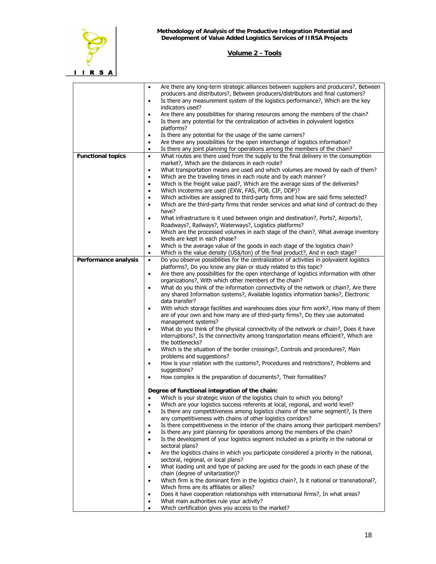

|                          | Are there any long-term strategic alliances between suppliers and producers?, Between<br>$\bullet$      |
|--------------------------|---------------------------------------------------------------------------------------------------------|
|                          | producers and distributors?, Between producers/distributors and final customers?                        |
|                          | Is there any measurement system of the logistics performance?, Which are the key<br>٠                   |
|                          | indicators used?                                                                                        |
|                          |                                                                                                         |
|                          | Are there any possibilities for sharing resources among the members of the chain?<br>٠                  |
|                          | Is there any potential for the centralization of activities in polyvalent logistics<br>$\bullet$        |
|                          | platforms?                                                                                              |
|                          | Is there any potential for the usage of the same carriers?<br>$\bullet$                                 |
|                          |                                                                                                         |
|                          | Are there any possibilities for the open interchange of logistics information?<br>٠                     |
|                          | Is there any joint planning for operations among the members of the chain?<br>$\bullet$                 |
| <b>Functional topics</b> | What routes are there used from the supply to the final delivery in the consumption<br>$\bullet$        |
|                          | market?, Which are the distances in each route?                                                         |
|                          |                                                                                                         |
|                          | What transportation means are used and which volumes are moved by each of them?<br>$\bullet$            |
|                          | Which are the traveling times in each route and by each manner?<br>$\bullet$                            |
|                          | Which is the freight value paid?, Which are the average sizes of the deliveries?<br>$\bullet$           |
|                          | Which incoterms are used (EXW, FAS, FOB, CIF, DDP)?<br>$\bullet$                                        |
|                          |                                                                                                         |
|                          | Which activities are assigned to third-party firms and how are said firms selected?<br>$\bullet$        |
|                          | Which are the third-party firms that render services and what kind of contract do they<br>$\bullet$     |
|                          | have?                                                                                                   |
|                          | What infrastructure is it used between origin and destination?, Ports?, Airports?,<br>$\bullet$         |
|                          |                                                                                                         |
|                          | Roadways?, Railways?, Waterways?, Logistics platforms?                                                  |
|                          | Which are the processed volumes in each stage of the chain?, What average inventory<br>$\bullet$        |
|                          | levels are kept in each phase?                                                                          |
|                          | Which is the average value of the goods in each stage of the logistics chain?<br>$\bullet$              |
|                          | Which is the value density (US\$/ton) of the final product?, And in each stage?<br>$\bullet$            |
|                          |                                                                                                         |
| Performance analysis     | Do you observe possibilities for the centralization of activities in polyvalent logistics<br>$\bullet$  |
|                          | platforms?, Do you know any plan or study related to this topic?                                        |
|                          | Are there any possibilities for the open interchange of logistics information with other<br>$\bullet$   |
|                          | organizations?, With which other members of the chain?                                                  |
|                          | What do you think of the information connectivity of the network or chain?, Are there<br>$\bullet$      |
|                          |                                                                                                         |
|                          | any shared Information systems?, Available logistics information banks?, Electronic                     |
|                          | data transfer?                                                                                          |
|                          | With which storage facilities and warehouses does your firm work?, How many of them<br>$\bullet$        |
|                          | are of your own and how many are of third-party firms?, Do they use automated                           |
|                          |                                                                                                         |
|                          | management systems?                                                                                     |
|                          | What do you think of the physical connectivity of the network or chain?, Does it have<br>$\bullet$      |
|                          | interruptions?, Is the connectivity among transportation means efficient?, Which are                    |
|                          | the bottlenecks?                                                                                        |
|                          | Which is the situation of the border crossings?, Controls and procedures?, Main<br>$\bullet$            |
|                          |                                                                                                         |
|                          | problems and suggestions?                                                                               |
|                          | How is your relation with the customs?, Procedures and restrictions?, Problems and<br>$\bullet$         |
|                          | suggestions?                                                                                            |
|                          | How complex is the preparation of documents?, Their formalities?<br>$\bullet$                           |
|                          |                                                                                                         |
|                          |                                                                                                         |
|                          | Degree of functional integration of the chain:                                                          |
|                          | Which is your strategic vision of the logistics chain to which you belong?<br>$\bullet$                 |
|                          | Which are your logistics success referents at local, regional, and world level?<br>$\bullet$            |
|                          | Is there any competitiveness among logistics chains of the same segment?, Is there<br>$\bullet$         |
|                          |                                                                                                         |
|                          | any competitiveness with chains of other logistics corridors?                                           |
|                          | Is there competitiveness in the interior of the chains among their participant members?<br>٠            |
|                          | Is there any joint planning for operations among the members of the chain?<br>$\bullet$                 |
|                          | Is the development of your logistics segment included as a priority in the national or<br>٠             |
|                          | sectoral plans?                                                                                         |
|                          |                                                                                                         |
|                          | Are the logistics chains in which you participate considered a priority in the national,<br>$\bullet$   |
|                          | sectoral, regional, or local plans?                                                                     |
|                          | What loading unit and type of packing are used for the goods in each phase of the<br>$\bullet$          |
|                          | chain (degree of unitarization)?                                                                        |
|                          | Which firm is the dominant firm in the logistics chain?, Is it national or transnational?,<br>$\bullet$ |
|                          | Which firms are its affiliates or allies?                                                               |
|                          |                                                                                                         |
|                          | Does it have cooperation relationships with international firms?, In what areas?<br>$\bullet$           |
|                          | What main authorities rule your activity?<br>$\bullet$                                                  |
|                          | Which certification gives you access to the market?<br>$\bullet$                                        |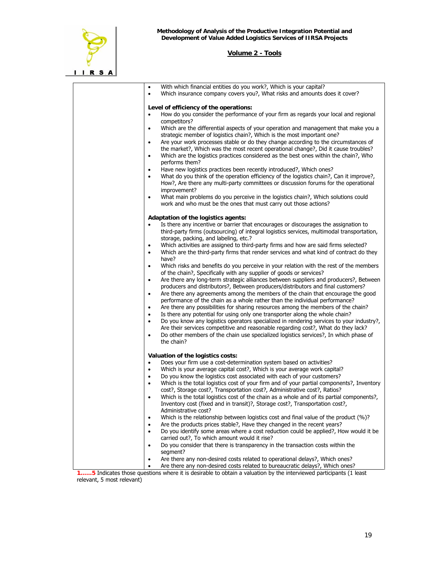

| With which financial entities do you work?, Which is your capital?<br>٠<br>Which insurance company covers you?, What risks and amounts does it cover?<br>$\bullet$                                          |
|-------------------------------------------------------------------------------------------------------------------------------------------------------------------------------------------------------------|
|                                                                                                                                                                                                             |
| Level of efficiency of the operations:<br>How do you consider the performance of your firm as regards your local and regional<br>$\bullet$                                                                  |
| competitors?                                                                                                                                                                                                |
| Which are the differential aspects of your operation and management that make you a<br>$\bullet$<br>strategic member of logistics chain?, Which is the most important one?                                  |
| Are your work processes stable or do they change according to the circumstances of<br>$\bullet$                                                                                                             |
| the market?, Which was the most recent operational change?, Did it cause troubles?                                                                                                                          |
| Which are the logistics practices considered as the best ones within the chain?, Who<br>$\bullet$<br>performs them?                                                                                         |
| Have new logistics practices been recently introduced?, Which ones?<br>$\bullet$                                                                                                                            |
| What do you think of the operation efficiency of the logistics chain?, Can it improve?,<br>$\bullet$<br>How?, Are there any multi-party committees or discussion forums for the operational<br>improvement? |
| What main problems do you perceive in the logistics chain?, Which solutions could<br>$\bullet$                                                                                                              |
| work and who must be the ones that must carry out those actions?                                                                                                                                            |
| Adaptation of the logistics agents:                                                                                                                                                                         |
| Is there any incentive or barrier that encourages or discourages the assignation to                                                                                                                         |
| third-party firms (outsourcing) of integral logistics services, multimodal transportation,<br>storage, packing, and labeling, etc.?                                                                         |
| Which activities are assigned to third-party firms and how are said firms selected?<br>$\bullet$                                                                                                            |
| Which are the third-party firms that render services and what kind of contract do they<br>$\bullet$                                                                                                         |
| have?<br>Which risks and benefits do you perceive in your relation with the rest of the members                                                                                                             |
| $\bullet$<br>of the chain?, Specifically with any supplier of goods or services?                                                                                                                            |
| Are there any long-term strategic alliances between suppliers and producers?, Between<br>$\bullet$                                                                                                          |
| producers and distributors?, Between producers/distributors and final customers?                                                                                                                            |
| Are there any agreements among the members of the chain that encourage the good<br>$\bullet$                                                                                                                |
| performance of the chain as a whole rather than the individual performance?<br>Are there any possibilities for sharing resources among the members of the chain?<br>$\bullet$                               |
| Is there any potential for using only one transporter along the whole chain?<br>٠                                                                                                                           |
| Do you know any logistics operators specialized in rendering services to your industry?,<br>$\bullet$                                                                                                       |
| Are their services competitive and reasonable regarding cost?, What do they lack?                                                                                                                           |
| Do other members of the chain use specialized logistics services?, In which phase of<br>$\bullet$                                                                                                           |
| the chain?                                                                                                                                                                                                  |
| Valuation of the logistics costs:                                                                                                                                                                           |
| Does your firm use a cost-determination system based on activities?<br>$\bullet$                                                                                                                            |
| Which is your average capital cost?, Which is your average work capital?<br>$\bullet$                                                                                                                       |
| Do you know the logistics cost associated with each of your customers?<br>$\bullet$                                                                                                                         |
| Which is the total logistics cost of your firm and of your partial components?, Inventory<br>٠<br>cost?, Storage cost?, Transportation cost?, Administrative cost?, Ratios?                                 |
| Which is the total logistics cost of the chain as a whole and of its partial components?,<br>٠                                                                                                              |
| Inventory cost (fixed and in transit)?, Storage cost?, Transportation cost?,                                                                                                                                |
| Administrative cost?                                                                                                                                                                                        |
| Which is the relationship between logistics cost and final value of the product (%)?<br>٠                                                                                                                   |
| Are the products prices stable?, Have they changed in the recent years?<br>٠<br>Do you identify some areas where a cost reduction could be applied?, How would it be<br>$\bullet$                           |
| carried out?, To which amount would it rise?                                                                                                                                                                |
| Do you consider that there is transparency in the transaction costs within the<br>$\bullet$<br>segment?                                                                                                     |
| Are there any non-desired costs related to operational delays?, Which ones?<br>$\bullet$                                                                                                                    |
| Are there any non-desired costs related to bureaucratic delays?, Which ones?<br>$\bullet$                                                                                                                   |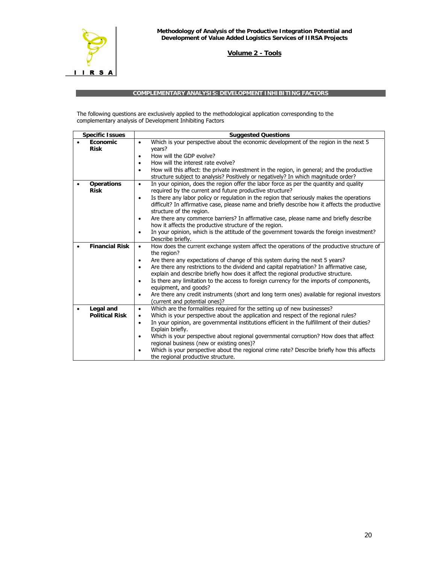

### **COMPLEMENTARY ANALYSIS: DEVELOPMENT INHIBITING FACTORS**

The following questions are exclusively applied to the methodological application corresponding to the complementary analysis of Development Inhibiting Factors

| <b>Specific Issues</b> |                       | <b>Suggested Questions</b>                                                                                                                                                                    |
|------------------------|-----------------------|-----------------------------------------------------------------------------------------------------------------------------------------------------------------------------------------------|
|                        | <b>Economic</b>       | Which is your perspective about the economic development of the region in the next 5<br>$\bullet$                                                                                             |
|                        | <b>Risk</b>           | years?                                                                                                                                                                                        |
|                        |                       | How will the GDP evolve?<br>$\bullet$                                                                                                                                                         |
|                        |                       | How will the interest rate evolve?<br>$\bullet$                                                                                                                                               |
|                        |                       | How will this affect: the private investment in the region, in general; and the productive<br>$\bullet$<br>structure subject to analysis? Positively or negatively? In which magnitude order? |
|                        | <b>Operations</b>     | In your opinion, does the region offer the labor force as per the quantity and quality<br>$\bullet$                                                                                           |
|                        | <b>Risk</b>           | required by the current and future productive structure?                                                                                                                                      |
|                        |                       | Is there any labor policy or regulation in the region that seriously makes the operations<br>$\bullet$                                                                                        |
|                        |                       | difficult? In affirmative case, please name and briefly describe how it affects the productive                                                                                                |
|                        |                       | structure of the region.                                                                                                                                                                      |
|                        |                       | Are there any commerce barriers? In affirmative case, please name and briefly describe<br>$\bullet$                                                                                           |
|                        |                       | how it affects the productive structure of the region.                                                                                                                                        |
|                        |                       | In your opinion, which is the attitude of the government towards the foreign investment?<br>$\bullet$                                                                                         |
|                        |                       | Describe briefly.                                                                                                                                                                             |
|                        | <b>Financial Risk</b> | How does the current exchange system affect the operations of the productive structure of<br>$\bullet$<br>the region?                                                                         |
|                        |                       | Are there any expectations of change of this system during the next 5 years?<br>$\bullet$                                                                                                     |
|                        |                       | Are there any restrictions to the dividend and capital repatriation? In affirmative case,<br>$\bullet$                                                                                        |
|                        |                       | explain and describe briefly how does it affect the regional productive structure.                                                                                                            |
|                        |                       | Is there any limitation to the access to foreign currency for the imports of components,<br>$\bullet$<br>equipment, and goods?                                                                |
|                        |                       | Are there any credit instruments (short and long term ones) available for regional investors<br>$\bullet$                                                                                     |
|                        |                       | (current and potential ones)?                                                                                                                                                                 |
|                        | Legal and             | Which are the formalities required for the setting up of new businesses?<br>$\bullet$                                                                                                         |
|                        | <b>Political Risk</b> | Which is your perspective about the application and respect of the regional rules?<br>$\bullet$                                                                                               |
|                        |                       | In your opinion, are governmental institutions efficient in the fulfillment of their duties?<br>$\bullet$<br>Explain briefly.                                                                 |
|                        |                       | Which is your perspective about regional governmental corruption? How does that affect<br>$\bullet$                                                                                           |
|                        |                       | regional business (new or existing ones)?                                                                                                                                                     |
|                        |                       | Which is your perspective about the regional crime rate? Describe briefly how this affects<br>the regional productive structure.                                                              |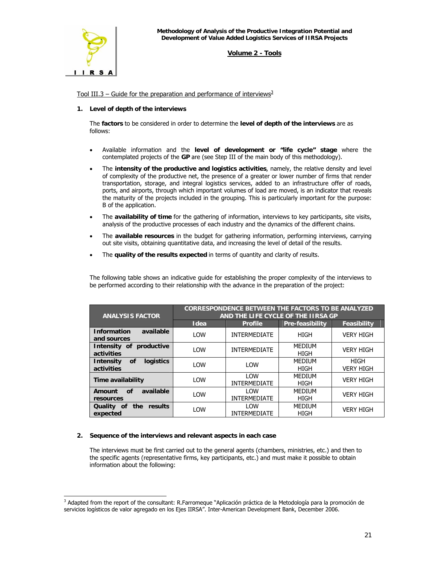

l

### **Volume 2 - Tools**

### Tool III.[3](#page-20-0) – Guide for the preparation and performance of interviews<sup>3</sup>

### **1. Level of depth of the interviews**

The **factors** to be considered in order to determine the **level of depth of the interviews** are as follows:

- Available information and the **level of development or "life cycle" stage** where the contemplated projects of the **GP** are (see Step III of the main body of this methodology).
- The **intensity of the productive and logistics activities**, namely, the relative density and level of complexity of the productive net, the presence of a greater or lower number of firms that render transportation, storage, and integral logistics services, added to an infrastructure offer of roads, ports, and airports, through which important volumes of load are moved, is an indicator that reveals the maturity of the projects included in the grouping. This is particularly important for the purpose: B of the application.
- The **availability of time** for the gathering of information, interviews to key participants, site visits, analysis of the productive processes of each industry and the dynamics of the different chains.
- The **available resources** in the budget for gathering information, performing interviews, carrying out site visits, obtaining quantitative data, and increasing the level of detail of the results.
- The **quality of the results expected** in terms of quantity and clarity of results.

The following table shows an indicative guide for establishing the proper complexity of the interviews to be performed according to their relationship with the advance in the preparation of the project:

| <b>ANALYSIS FACTOR</b>                                          | <b>CORRESPONDENCE BETWEEN THE FACTORS TO BE ANALYZED</b><br>AND THE LIFE CYCLE OF THE IIRSA GP |                                    |                              |                                 |
|-----------------------------------------------------------------|------------------------------------------------------------------------------------------------|------------------------------------|------------------------------|---------------------------------|
|                                                                 | Idea                                                                                           | <b>Profile</b>                     | <b>Pre-feasibility</b>       | Feasibility                     |
| <b>Information</b><br>available<br>and sources                  | LOW                                                                                            | <b>INTERMEDIATE</b>                | <b>HIGH</b>                  | <b>VERY HIGH</b>                |
| Intensity of productive<br>activities                           | <b>I OW</b>                                                                                    | <b>INTERMEDIATE</b>                | <b>MEDIUM</b><br>HIGH        | <b>VERY HIGH</b>                |
| <b>logistics</b><br><b>Intensity</b><br><b>of</b><br>activities | <b>LOW</b>                                                                                     | <b>I OW</b>                        | <b>MFDIUM</b><br><b>HIGH</b> | <b>HIGH</b><br><b>VERY HIGH</b> |
| Time availability                                               | <b>LOW</b>                                                                                     | <b>I OW</b><br><b>INTERMEDIATE</b> | <b>MEDIUM</b><br>HIGH        | <b>VERY HIGH</b>                |
| available<br><b>of</b><br>Amount<br>resources                   | LOW                                                                                            | LOW<br><b>INTERMEDIATE</b>         | <b>MEDIUM</b><br><b>HIGH</b> | <b>VERY HIGH</b>                |
| Quality of<br>the results<br>expected                           | LOW                                                                                            | LOW<br><b>INTERMEDIATE</b>         | <b>MEDIUM</b><br><b>HIGH</b> | <b>VERY HIGH</b>                |

#### **2. Sequence of the interviews and relevant aspects in each case**

The interviews must be first carried out to the general agents (chambers, ministries, etc.) and then to the specific agents (representative firms, key participants, etc.) and must make it possible to obtain information about the following:

<span id="page-20-0"></span><sup>3</sup> Adapted from the report of the consultant: R.Farromeque "Aplicación práctica de la Metodología para la promoción de servicios logísticos de valor agregado en los Ejes IIRSA". Inter-American Development Bank, December 2006.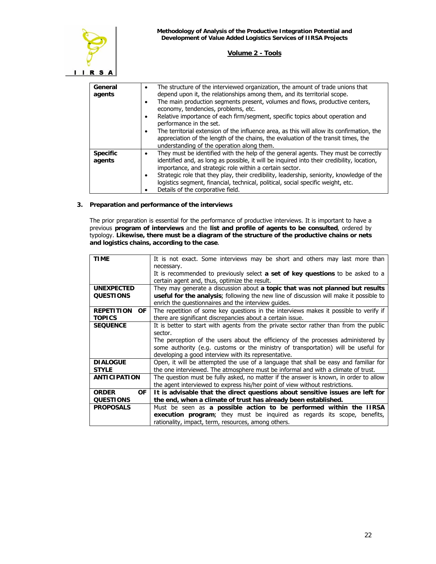

| General<br>agents         | The structure of the interviewed organization, the amount of trade unions that<br>٠<br>depend upon it, the relationships among them, and its territorial scope.<br>The main production segments present, volumes and flows, productive centers,<br>economy, tendencies, problems, etc.<br>Relative importance of each firm/segment, specific topics about operation and<br>performance in the set.<br>The territorial extension of the influence area, as this will allow its confirmation, the<br>appreciation of the length of the chains, the evaluation of the transit times, the<br>understanding of the operation along them. |
|---------------------------|-------------------------------------------------------------------------------------------------------------------------------------------------------------------------------------------------------------------------------------------------------------------------------------------------------------------------------------------------------------------------------------------------------------------------------------------------------------------------------------------------------------------------------------------------------------------------------------------------------------------------------------|
| <b>Specific</b><br>agents | They must be identified with the help of the general agents. They must be correctly<br>٠<br>identified and, as long as possible, it will be inguired into their credibility, location,<br>importance, and strategic role within a certain sector.<br>Strategic role that they play, their credibility, leadership, seniority, knowledge of the<br>logistics segment, financial, technical, political, social specific weight, etc.<br>Details of the corporative field.                                                                                                                                                             |

### **3. Preparation and performance of the interviews**

The prior preparation is essential for the performance of productive interviews. It is important to have a previous **program of interviews** and the **list and profile of agents to be consulted**, ordered by typology. **Likewise, there must be a diagram of the structure of the productive chains or nets and logistics chains, according to the case**.

| <b>TIME</b>               | It is not exact. Some interviews may be short and others may last more than            |  |  |  |  |  |  |
|---------------------------|----------------------------------------------------------------------------------------|--|--|--|--|--|--|
|                           | necessary.                                                                             |  |  |  |  |  |  |
|                           | It is recommended to previously select a set of key questions to be asked to a         |  |  |  |  |  |  |
|                           | certain agent and, thus, optimize the result.                                          |  |  |  |  |  |  |
| <b>UNEXPECTED</b>         | They may generate a discussion about a topic that was not planned but results          |  |  |  |  |  |  |
| <b>QUESTIONS</b>          | useful for the analysis; following the new line of discussion will make it possible to |  |  |  |  |  |  |
|                           | enrich the questionnaires and the interview guides.                                    |  |  |  |  |  |  |
| <b>REPETITION</b><br>OF.  | The repetition of some key questions in the interviews makes it possible to verify if  |  |  |  |  |  |  |
| <b>TOPICS</b>             | there are significant discrepancies about a certain issue.                             |  |  |  |  |  |  |
| <b>SEQUENCE</b>           | It is better to start with agents from the private sector rather than from the public  |  |  |  |  |  |  |
|                           | sector.                                                                                |  |  |  |  |  |  |
|                           | The perception of the users about the efficiency of the processes administered by      |  |  |  |  |  |  |
|                           | some authority (e.g. customs or the ministry of transportation) will be useful for     |  |  |  |  |  |  |
|                           | developing a good interview with its representative.                                   |  |  |  |  |  |  |
| <b>DIALOGUE</b>           | Open, it will be attempted the use of a language that shall be easy and familiar for   |  |  |  |  |  |  |
| <b>STYLE</b>              | the one interviewed. The atmosphere must be informal and with a climate of trust.      |  |  |  |  |  |  |
| <b>ANTICIPATION</b>       | The question must be fully asked, no matter if the answer is known, in order to allow  |  |  |  |  |  |  |
|                           | the agent interviewed to express his/her point of view without restrictions.           |  |  |  |  |  |  |
| <b>OF</b><br><b>ORDER</b> | It is advisable that the direct questions about sensitive issues are left for          |  |  |  |  |  |  |
| <b>QUESTIONS</b>          | the end, when a climate of trust has already been established.                         |  |  |  |  |  |  |
| <b>PROPOSALS</b>          | Must be seen as a possible action to be performed within the IIRSA                     |  |  |  |  |  |  |
|                           | execution program; they must be inguired as regards its scope, benefits,               |  |  |  |  |  |  |
|                           | rationality, impact, term, resources, among others.                                    |  |  |  |  |  |  |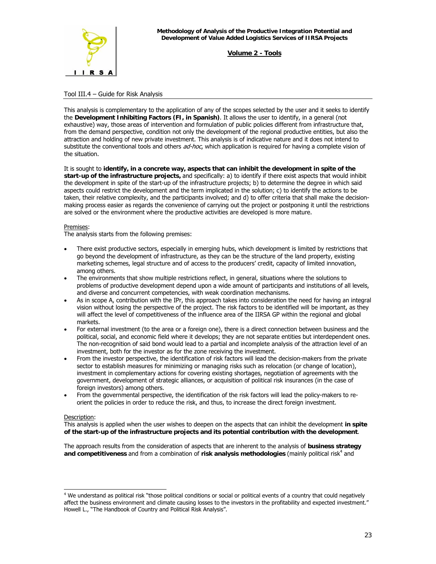

### Tool III.4 – Guide for Risk Analysis

This analysis is complementary to the application of any of the scopes selected by the user and it seeks to identify the **Development Inhibiting Factors (FI, in Spanish)**. It allows the user to identify, in a general (not exhaustive) way, those areas of intervention and formulation of public policies different from infrastructure that, from the demand perspective, condition not only the development of the regional productive entities, but also the attraction and holding of new private investment. This analysis is of indicative nature and it does not intend to substitute the conventional tools and others ad-hoc, which application is required for having a complete vision of the situation.

It is sought to **identify, in a concrete way, aspects that can inhibit the development in spite of the start-up of the infrastructure projects,** and specifically: a) to identify if there exist aspects that would inhibit the development in spite of the start-up of the infrastructure projects; b) to determine the degree in which said aspects could restrict the development and the term implicated in the solution; c) to identify the actions to be taken, their relative complexity, and the participants involved; and d) to offer criteria that shall make the decisionmaking process easier as regards the convenience of carrying out the project or postponing it until the restrictions are solved or the environment where the productive activities are developed is more mature.

#### Premises:

The analysis starts from the following premises:

- There exist productive sectors, especially in emerging hubs, which development is limited by restrictions that go beyond the development of infrastructure, as they can be the structure of the land property, existing marketing schemes, legal structure and of access to the producers' credit, capacity of limited innovation, among others.
- The environments that show multiple restrictions reflect, in general, situations where the solutions to problems of productive development depend upon a wide amount of participants and institutions of all levels, and diverse and concurrent competencies, with weak coordination mechanisms.
- As in scope A, contribution with the IPr, this approach takes into consideration the need for having an integral vision without losing the perspective of the project. The risk factors to be identified will be important, as they will affect the level of competitiveness of the influence area of the IIRSA GP within the regional and global markets.
- For external investment (to the area or a foreign one), there is a direct connection between business and the political, social, and economic field where it develops; they are not separate entities but interdependent ones. The non-recognition of said bond would lead to a partial and incomplete analysis of the attraction level of an investment, both for the investor as for the zone receiving the investment.
- From the investor perspective, the identification of risk factors will lead the decision-makers from the private sector to establish measures for minimizing or managing risks such as relocation (or change of location), investment in complementary actions for covering existing shortages, negotiation of agreements with the government, development of strategic alliances, or acquisition of political risk insurances (in the case of foreign investors) among others.
- From the governmental perspective, the identification of the risk factors will lead the policy-makers to reorient the policies in order to reduce the risk, and thus, to increase the direct foreign investment.

#### Description:

l

This analysis is applied when the user wishes to deepen on the aspects that can inhibit the development **in spite of the start-up of the infrastructure projects and its potential contribution with the development**.

The approach results from the consideration of aspects that are inherent to the analysis of **business strategy and competitiveness** and from a combination of **risk analysis methodologies** (mainly political risk [4](#page-22-0) and

<span id="page-22-0"></span><sup>&</sup>lt;sup>4</sup> We understand as political risk "those political conditions or social or political events of a country that could negatively affect the business environment and climate causing losses to the investors in the profitability and expected investment." Howell L., "The Handbook of Country and Political Risk Analysis".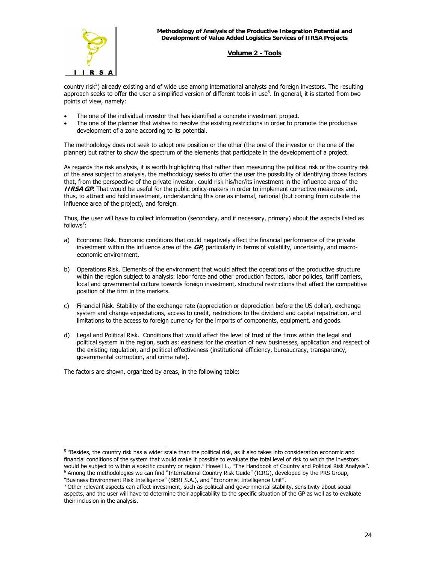

country risk<sup>[5](#page-23-0)</sup>) already existing and of wide use among international analysts and foreign investors. The resulting approach seeks to offer the user a simplified version of different tools in use<sup>6</sup>[.](#page-23-1) In general, it is started from two points of view, namely:

- The one of the individual investor that has identified a concrete investment project.
- The one of the planner that wishes to resolve the existing restrictions in order to promote the productive development of a zone according to its potential.

The methodology does not seek to adopt one position or the other (the one of the investor or the one of the planner) but rather to show the spectrum of the elements that participate in the development of a project.

As regards the risk analysis, it is worth highlighting that rather than measuring the political risk or the country risk of the area subject to analysis, the methodology seeks to offer the user the possibility of identifying those factors that, from the perspective of the private investor, could risk his/her/its investment in the influence area of the **IIRSA GP**. That would be useful for the public policy-makers in order to implement corrective measures and, thus, to attract and hold investment, understanding this one as internal, national (but coming from outside the influence area of the project), and foreign.

Thus, the user will have to collect information (secondary, and if necessary, primary) about the aspects listed as follows<sup>[7](#page-23-2)</sup>:

- a) Economic Risk. Economic conditions that could negatively affect the financial performance of the private investment within the influence area of the **GP**, particularly in terms of volatility, uncertainty, and macroeconomic environment.
- b) Operations Risk. Elements of the environment that would affect the operations of the productive structure within the region subject to analysis: labor force and other production factors, labor policies, tariff barriers, local and governmental culture towards foreign investment, structural restrictions that affect the competitive position of the firm in the markets.
- c) Financial Risk. Stability of the exchange rate (appreciation or depreciation before the US dollar), exchange system and change expectations, access to credit, restrictions to the dividend and capital repatriation, and limitations to the access to foreign currency for the imports of components, equipment, and goods.
- d) Legal and Political Risk. Conditions that would affect the level of trust of the firms within the legal and political system in the region, such as: easiness for the creation of new businesses, application and respect of the existing regulation, and political effectiveness (institutional efficiency, bureaucracy, transparency, governmental corruption, and crime rate).

The factors are shown, organized by areas, in the following table:

 $\overline{a}$ 

<span id="page-23-0"></span><sup>&</sup>lt;sup>5</sup> "Besides, the country risk has a wider scale than the political risk, as it also takes into consideration economic and financial conditions of the system that would make it possible to evaluate the total level of risk to which the investors would be subject to within a specific country or region." Howell L., "The Handbook of Country and Political Risk Analysis".  $6$  Among the methodologies we can find "International Country Risk Guide" (ICRG), developed by the PRS Group,

<span id="page-23-1"></span><sup>&</sup>quot;Business Environment Risk Intelligence" (BERI S.A.), and "Economist Intelligence Unit".

<span id="page-23-2"></span><sup>7</sup> Other relevant aspects can affect investment, such as political and governmental stability, sensitivity about social aspects, and the user will have to determine their applicability to the specific situation of the GP as well as to evaluate their inclusion in the analysis.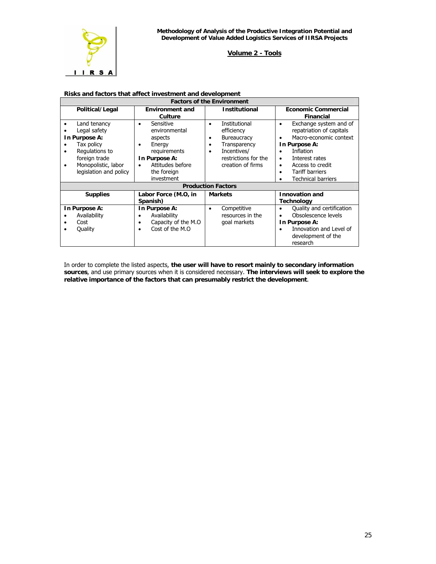

| <b>Factors of the Environment</b>                                                                                                                                                      |                                                                                                                                                |                                                                                                                                                                                   |                                                                                                                                                                                                                         |  |  |
|----------------------------------------------------------------------------------------------------------------------------------------------------------------------------------------|------------------------------------------------------------------------------------------------------------------------------------------------|-----------------------------------------------------------------------------------------------------------------------------------------------------------------------------------|-------------------------------------------------------------------------------------------------------------------------------------------------------------------------------------------------------------------------|--|--|
| Political/Legal                                                                                                                                                                        | <b>Environment and</b><br>Culture                                                                                                              | <b>Institutional</b>                                                                                                                                                              | <b>Economic Commercial</b><br><b>Financial</b>                                                                                                                                                                          |  |  |
| Land tenancy<br>$\bullet$<br>Legal safety<br>In Purpose A:<br>Tax policy<br>Regulations to<br>$\bullet$<br>foreign trade<br>Monopolistic, labor<br>$\bullet$<br>legislation and policy | Sensitive<br>$\bullet$<br>environmental<br>aspects<br>Energy<br>requirements<br>In Purpose A:<br>Attitudes before<br>the foreign<br>investment | Institutional<br>$\bullet$<br>efficiency<br><b>Bureaucracy</b><br>$\bullet$<br>Transparency<br>$\bullet$<br>Incentives/<br>$\bullet$<br>restrictions for the<br>creation of firms | Exchange system and of<br>٠<br>repatriation of capitals<br>Macro-economic context<br>In Purpose A:<br>Inflation<br>Interest rates<br>$\bullet$<br>Access to credit<br>٠<br><b>Tariff barriers</b><br>Technical barriers |  |  |
|                                                                                                                                                                                        |                                                                                                                                                | <b>Production Factors</b>                                                                                                                                                         |                                                                                                                                                                                                                         |  |  |
| <b>Supplies</b>                                                                                                                                                                        | Labor Force (M.O, in<br>Spanish)                                                                                                               | <b>Markets</b>                                                                                                                                                                    | <b>Innovation and</b><br>Technology                                                                                                                                                                                     |  |  |
| In Purpose A:<br>Availability<br>Cost<br>Quality<br>$\bullet$                                                                                                                          | In Purpose A:<br>Availability<br>Capacity of the M.O.<br>$\bullet$<br>Cost of the M.O.<br>$\bullet$                                            | Competitive<br>٠<br>resources in the<br>goal markets                                                                                                                              | Quality and certification<br>٠<br>Obsolescence levels<br>In Purpose A:<br>Innovation and Level of<br>development of the<br>research                                                                                     |  |  |

### **Risks and factors that affect investment and development**

In order to complete the listed aspects, **the user will have to resort mainly to secondary information sources**, and use primary sources when it is considered necessary. **The interviews will seek to explore the relative importance of the factors that can presumably restrict the development**.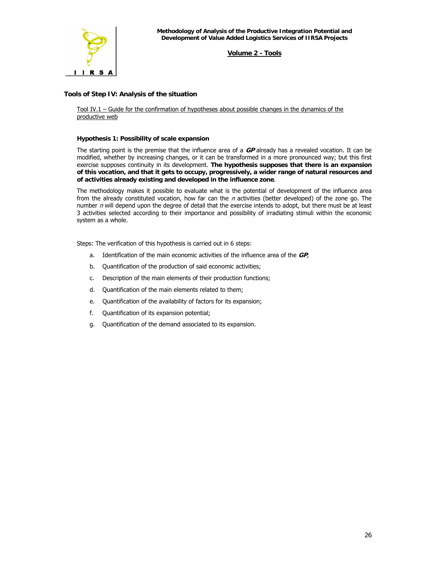

### **Tools of Step IV: Analysis of the situation**

Tool IV.1 – Guide for the confirmation of hypotheses about possible changes in the dynamics of the productive web

#### **Hypothesis 1: Possibility of scale expansion**

The starting point is the premise that the influence area of a **GP** already has a revealed vocation. It can be modified, whether by increasing changes, or it can be transformed in a more pronounced way; but this first exercise supposes continuity in its development. **The hypothesis supposes that there is an expansion of this vocation, and that it gets to occupy, progressively, a wider range of natural resources and of activities already existing and developed in the influence zone**.

The methodology makes it possible to evaluate what is the potential of development of the influence area from the already constituted vocation, how far can the  $n$  activities (better developed) of the zone go. The number  $n$  will depend upon the degree of detail that the exercise intends to adopt, but there must be at least 3 activities selected according to their importance and possibility of irradiating stimuli within the economic system as a whole.

Steps: The verification of this hypothesis is carried out in 6 steps:

- a. Identification of the main economic activities of the influence area of the **GP**;
- b. Quantification of the production of said economic activities;
- c. Description of the main elements of their production functions;
- d. Quantification of the main elements related to them;
- e. Quantification of the availability of factors for its expansion;
- f. Quantification of its expansion potential;
- g. Quantification of the demand associated to its expansion.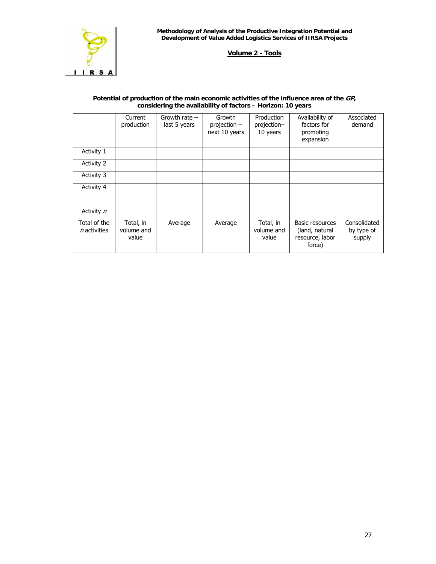

| Potential of production of the main economic activities of the influence area of the GP, |
|------------------------------------------------------------------------------------------|
| considering the availability of factors – Horizon: 10 years                              |

|                                | Current<br>production            | Growth rate $-$<br>last 5 years | Growth<br>projection -<br>next 10 years | Production<br>projection-<br>10 years | Availability of<br>factors for<br>promoting<br>expansion       | Associated<br>demand                 |
|--------------------------------|----------------------------------|---------------------------------|-----------------------------------------|---------------------------------------|----------------------------------------------------------------|--------------------------------------|
| Activity 1                     |                                  |                                 |                                         |                                       |                                                                |                                      |
| Activity 2                     |                                  |                                 |                                         |                                       |                                                                |                                      |
| Activity 3                     |                                  |                                 |                                         |                                       |                                                                |                                      |
| Activity 4                     |                                  |                                 |                                         |                                       |                                                                |                                      |
|                                |                                  |                                 |                                         |                                       |                                                                |                                      |
| Activity n                     |                                  |                                 |                                         |                                       |                                                                |                                      |
| Total of the<br>$n$ activities | Total, in<br>volume and<br>value | Average                         | Average                                 | Total, in<br>volume and<br>value      | Basic resources<br>(land, natural<br>resource, labor<br>force) | Consolidated<br>by type of<br>supply |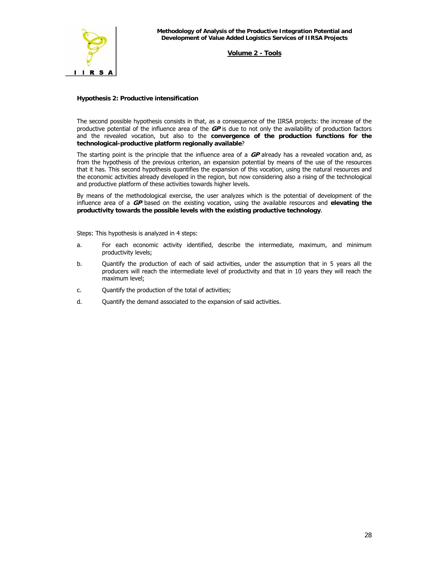

### **Hypothesis 2: Productive intensification**

The second possible hypothesis consists in that, as a consequence of the IIRSA projects: the increase of the productive potential of the influence area of the **GP** is due to not only the availability of production factors and the revealed vocation, but also to the **convergence of the production functions for the technological-productive platform regionally available**?

The starting point is the principle that the influence area of a **GP** already has a revealed vocation and, as from the hypothesis of the previous criterion, an expansion potential by means of the use of the resources that it has. This second hypothesis quantifies the expansion of this vocation, using the natural resources and the economic activities already developed in the region, but now considering also a rising of the technological and productive platform of these activities towards higher levels.

By means of the methodological exercise, the user analyzes which is the potential of development of the influence area of a **GP** based on the existing vocation, using the available resources and **elevating the productivity towards the possible levels with the existing productive technology**.

Steps: This hypothesis is analyzed in 4 steps:

- a. For each economic activity identified, describe the intermediate, maximum, and minimum productivity levels;
- b. Quantify the production of each of said activities, under the assumption that in 5 years all the producers will reach the intermediate level of productivity and that in 10 years they will reach the maximum level;
- c. Quantify the production of the total of activities;
- d. Quantify the demand associated to the expansion of said activities.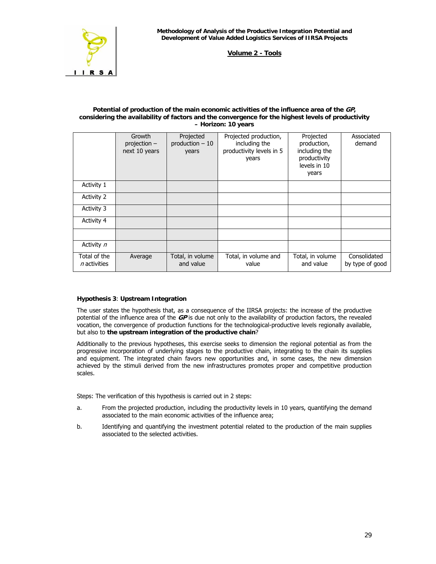

#### Potential of production of the main economic activities of the influence area of the  $GP$ , **considering the availability of factors and the convergence for the highest levels of productivity – Horizon: 10 years**

|                                | Growth<br>projection $-$<br>next 10 years | Projected<br>$production - 10$<br>years | Projected production,<br>including the<br>productivity levels in 5<br>years | Projected<br>production,<br>including the<br>productivity<br>levels in 10<br>years | Associated<br>demand            |
|--------------------------------|-------------------------------------------|-----------------------------------------|-----------------------------------------------------------------------------|------------------------------------------------------------------------------------|---------------------------------|
| Activity 1                     |                                           |                                         |                                                                             |                                                                                    |                                 |
| Activity 2                     |                                           |                                         |                                                                             |                                                                                    |                                 |
| Activity 3                     |                                           |                                         |                                                                             |                                                                                    |                                 |
| <b>Activity 4</b>              |                                           |                                         |                                                                             |                                                                                    |                                 |
|                                |                                           |                                         |                                                                             |                                                                                    |                                 |
| Activity n                     |                                           |                                         |                                                                             |                                                                                    |                                 |
| Total of the<br>$n$ activities | Average                                   | Total, in volume<br>and value           | Total, in volume and<br>value                                               | Total, in volume<br>and value                                                      | Consolidated<br>by type of good |

### **Hypothesis 3**: **Upstream Integration**

The user states the hypothesis that, as a consequence of the IIRSA projects: the increase of the productive potential of the influence area of the **GP** is due not only to the availability of production factors, the revealed vocation, the convergence of production functions for the technological-productive levels regionally available, but also to **the upstream integration of the productive chain**?

Additionally to the previous hypotheses, this exercise seeks to dimension the regional potential as from the progressive incorporation of underlying stages to the productive chain, integrating to the chain its supplies and equipment. The integrated chain favors new opportunities and, in some cases, the new dimension achieved by the stimuli derived from the new infrastructures promotes proper and competitive production scales.

Steps: The verification of this hypothesis is carried out in 2 steps:

- a. From the projected production, including the productivity levels in 10 years, quantifying the demand associated to the main economic activities of the influence area;
- b. Identifying and quantifying the investment potential related to the production of the main supplies associated to the selected activities.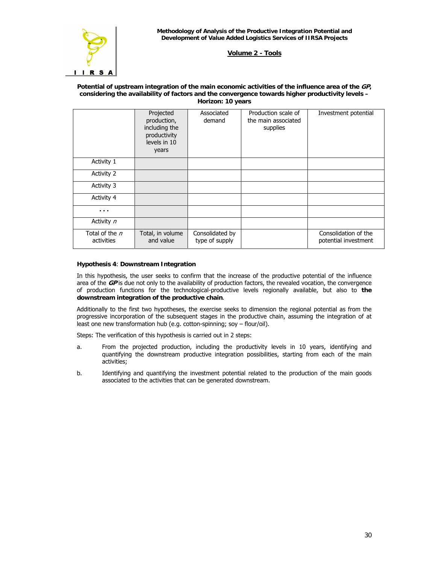#### **Potential of upstream integration of the main economic activities of the influence area of the GP, considering the availability of factors and the convergence towards higher productivity levels – Horizon: 10 years**

|                                | Projected<br>production,<br>including the<br>productivity<br>levels in 10<br>years | Associated<br>demand              | Production scale of<br>the main associated<br>supplies | Investment potential                         |
|--------------------------------|------------------------------------------------------------------------------------|-----------------------------------|--------------------------------------------------------|----------------------------------------------|
| Activity 1                     |                                                                                    |                                   |                                                        |                                              |
| Activity 2                     |                                                                                    |                                   |                                                        |                                              |
| Activity 3                     |                                                                                    |                                   |                                                        |                                              |
| Activity 4                     |                                                                                    |                                   |                                                        |                                              |
| .                              |                                                                                    |                                   |                                                        |                                              |
| Activity n                     |                                                                                    |                                   |                                                        |                                              |
| Total of the $n$<br>activities | Total, in volume<br>and value                                                      | Consolidated by<br>type of supply |                                                        | Consolidation of the<br>potential investment |

### **Hypothesis 4**: **Downstream Integration**

In this hypothesis, the user seeks to confirm that the increase of the productive potential of the influence area of the **GP** is due not only to the availability of production factors, the revealed vocation, the convergence of production functions for the technological-productive levels regionally available, but also to **the downstream integration of the productive chain**.

Additionally to the first two hypotheses, the exercise seeks to dimension the regional potential as from the progressive incorporation of the subsequent stages in the productive chain, assuming the integration of at least one new transformation hub (e.g. cotton-spinning; soy – flour/oil).

Steps: The verification of this hypothesis is carried out in 2 steps:

- a. From the projected production, including the productivity levels in 10 years, identifying and quantifying the downstream productive integration possibilities, starting from each of the main activities;
- b. Identifying and quantifying the investment potential related to the production of the main goods associated to the activities that can be generated downstream.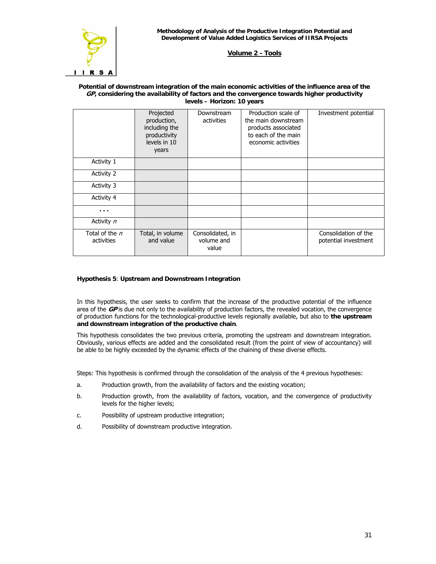

#### **Potential of downstream integration of the main economic activities of the influence area of the GP, considering the availability of factors and the convergence towards higher productivity levels – Horizon: 10 years**

|                                | Projected<br>production,<br>including the<br>productivity<br>levels in 10<br>years | Downstream<br>activities                | Production scale of<br>the main downstream<br>products associated<br>to each of the main<br>economic activities | Investment potential                         |
|--------------------------------|------------------------------------------------------------------------------------|-----------------------------------------|-----------------------------------------------------------------------------------------------------------------|----------------------------------------------|
| Activity 1                     |                                                                                    |                                         |                                                                                                                 |                                              |
| <b>Activity 2</b>              |                                                                                    |                                         |                                                                                                                 |                                              |
| Activity 3                     |                                                                                    |                                         |                                                                                                                 |                                              |
| Activity 4                     |                                                                                    |                                         |                                                                                                                 |                                              |
| .                              |                                                                                    |                                         |                                                                                                                 |                                              |
| Activity n                     |                                                                                    |                                         |                                                                                                                 |                                              |
| Total of the $n$<br>activities | Total, in volume<br>and value                                                      | Consolidated, in<br>volume and<br>value |                                                                                                                 | Consolidation of the<br>potential investment |

### **Hypothesis 5**: **Upstream and Downstream Integration**

In this hypothesis, the user seeks to confirm that the increase of the productive potential of the influence area of the **GP** is due not only to the availability of production factors, the revealed vocation, the convergence of production functions for the technological-productive levels regionally available, but also to **the upstream and downstream integration of the productive chain**.

This hypothesis consolidates the two previous criteria, promoting the upstream and downstream integration. Obviously, various effects are added and the consolidated result (from the point of view of accountancy) will be able to be highly exceeded by the dynamic effects of the chaining of these diverse effects.

Steps: This hypothesis is confirmed through the consolidation of the analysis of the 4 previous hypotheses:

- a. Production growth, from the availability of factors and the existing vocation;
- b. Production growth, from the availability of factors, vocation, and the convergence of productivity levels for the higher levels;
- c. Possibility of upstream productive integration;
- d. Possibility of downstream productive integration.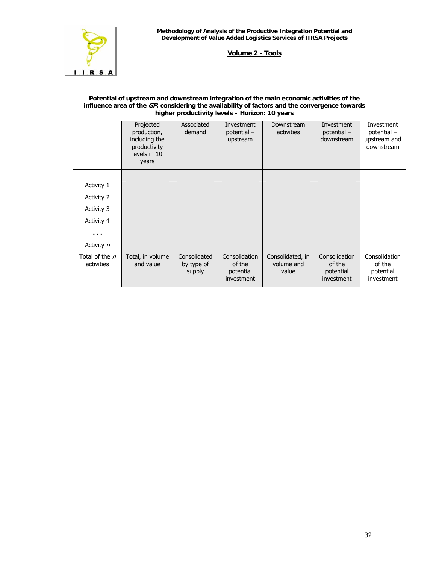

#### **Potential of upstream and downstream integration of the main economic activities of the influence area of the GP, considering the availability of factors and the convergence towards higher productivity levels – Horizon: 10 years**

|                              | Projected<br>production,<br>including the<br>productivity<br>levels in 10<br>years | Associated<br>demand                 | Investment<br>potential-<br>upstream               | Downstream<br>activities                | Investment<br>potential-<br>downstream             | Investment<br>potential-<br>upstream and<br>downstream |
|------------------------------|------------------------------------------------------------------------------------|--------------------------------------|----------------------------------------------------|-----------------------------------------|----------------------------------------------------|--------------------------------------------------------|
|                              |                                                                                    |                                      |                                                    |                                         |                                                    |                                                        |
| Activity 1                   |                                                                                    |                                      |                                                    |                                         |                                                    |                                                        |
| <b>Activity 2</b>            |                                                                                    |                                      |                                                    |                                         |                                                    |                                                        |
| Activity 3                   |                                                                                    |                                      |                                                    |                                         |                                                    |                                                        |
| Activity 4                   |                                                                                    |                                      |                                                    |                                         |                                                    |                                                        |
| .                            |                                                                                    |                                      |                                                    |                                         |                                                    |                                                        |
| Activity n                   |                                                                                    |                                      |                                                    |                                         |                                                    |                                                        |
| Total of the n<br>activities | Total, in volume<br>and value                                                      | Consolidated<br>by type of<br>supply | Consolidation<br>of the<br>potential<br>investment | Consolidated, in<br>volume and<br>value | Consolidation<br>of the<br>potential<br>investment | Consolidation<br>of the<br>potential<br>investment     |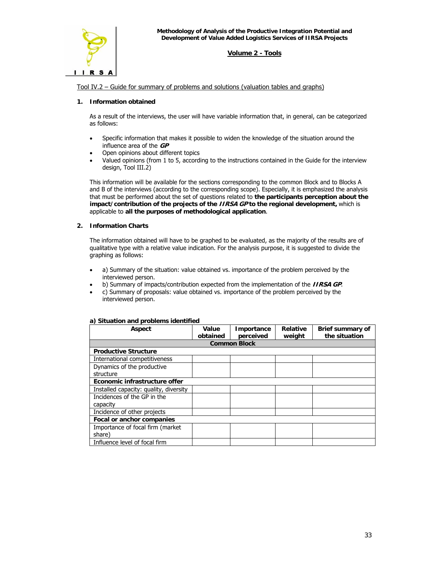

Tool IV.2 – Guide for summary of problems and solutions (valuation tables and graphs)

#### **1. Information obtained**

As a result of the interviews, the user will have variable information that, in general, can be categorized as follows:

- Specific information that makes it possible to widen the knowledge of the situation around the influence area of the **GP**
- Open opinions about different topics
- Valued opinions (from 1 to 5, according to the instructions contained in the Guide for the interview design, Tool III.2)

This information will be available for the sections corresponding to the common Block and to Blocks A and B of the interviews (according to the corresponding scope). Especially, it is emphasized the analysis that must be performed about the set of questions related to **the participants perception about the impact/contribution of the projects of the IIRSA GP to the regional development,** which is applicable to **all the purposes of methodological application**.

#### **2. Information Charts**

The information obtained will have to be graphed to be evaluated, as the majority of the results are of qualitative type with a relative value indication. For the analysis purpose, it is suggested to divide the graphing as follows:

- a) Summary of the situation: value obtained vs. importance of the problem perceived by the interviewed person.
- b) Summary of impacts/contribution expected from the implementation of the **IIRSA GP**.
- c) Summary of proposals: value obtained vs. importance of the problem perceived by the interviewed person.

| Aspect                                 | Value               | Importance | <b>Relative</b> | <b>Brief summary of</b> |  |  |  |  |
|----------------------------------------|---------------------|------------|-----------------|-------------------------|--|--|--|--|
|                                        | obtained            | perceived  | weight          | the situation           |  |  |  |  |
|                                        | <b>Common Block</b> |            |                 |                         |  |  |  |  |
| <b>Productive Structure</b>            |                     |            |                 |                         |  |  |  |  |
| International competitiveness          |                     |            |                 |                         |  |  |  |  |
| Dynamics of the productive             |                     |            |                 |                         |  |  |  |  |
| structure                              |                     |            |                 |                         |  |  |  |  |
| Economic infrastructure offer          |                     |            |                 |                         |  |  |  |  |
| Installed capacity: quality, diversity |                     |            |                 |                         |  |  |  |  |
| Incidences of the GP in the            |                     |            |                 |                         |  |  |  |  |
| capacity                               |                     |            |                 |                         |  |  |  |  |
| Incidence of other projects            |                     |            |                 |                         |  |  |  |  |
| Focal or anchor companies              |                     |            |                 |                         |  |  |  |  |
| Importance of focal firm (market       |                     |            |                 |                         |  |  |  |  |
| share)                                 |                     |            |                 |                         |  |  |  |  |
| Influence level of focal firm          |                     |            |                 |                         |  |  |  |  |

### **a) Situation and problems identified**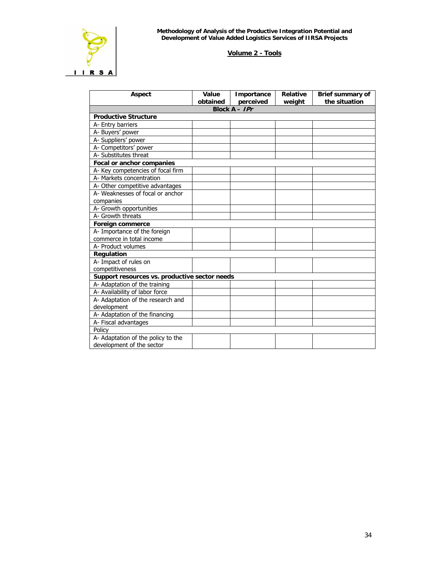

| Aspect                                        | Value    | Importance       | <b>Relative</b> | Brief summary of |
|-----------------------------------------------|----------|------------------|-----------------|------------------|
|                                               | obtained | perceived        | weight          | the situation    |
|                                               |          | Block $A - I Pr$ |                 |                  |
| <b>Productive Structure</b>                   |          |                  |                 |                  |
| A- Entry barriers                             |          |                  |                 |                  |
| A- Buyers' power                              |          |                  |                 |                  |
| A- Suppliers' power                           |          |                  |                 |                  |
| A- Competitors' power                         |          |                  |                 |                  |
| A- Substitutes threat                         |          |                  |                 |                  |
| Focal or anchor companies                     |          |                  |                 |                  |
| A- Key competencies of focal firm             |          |                  |                 |                  |
| A- Markets concentration                      |          |                  |                 |                  |
| A- Other competitive advantages               |          |                  |                 |                  |
| A- Weaknesses of focal or anchor              |          |                  |                 |                  |
| companies                                     |          |                  |                 |                  |
| A- Growth opportunities                       |          |                  |                 |                  |
| A- Growth threats                             |          |                  |                 |                  |
| <b>Foreign commerce</b>                       |          |                  |                 |                  |
| A- Importance of the foreign                  |          |                  |                 |                  |
| commerce in total income                      |          |                  |                 |                  |
| A- Product volumes                            |          |                  |                 |                  |
| Regulation                                    |          |                  |                 |                  |
| A- Impact of rules on                         |          |                  |                 |                  |
| competitiveness                               |          |                  |                 |                  |
| Support resources vs. productive sector needs |          |                  |                 |                  |
| A- Adaptation of the training                 |          |                  |                 |                  |
| A- Availability of labor force                |          |                  |                 |                  |
| A- Adaptation of the research and             |          |                  |                 |                  |
| development                                   |          |                  |                 |                  |
| A- Adaptation of the financing                |          |                  |                 |                  |
| A- Fiscal advantages                          |          |                  |                 |                  |
| Policy                                        |          |                  |                 |                  |
| A- Adaptation of the policy to the            |          |                  |                 |                  |
| development of the sector                     |          |                  |                 |                  |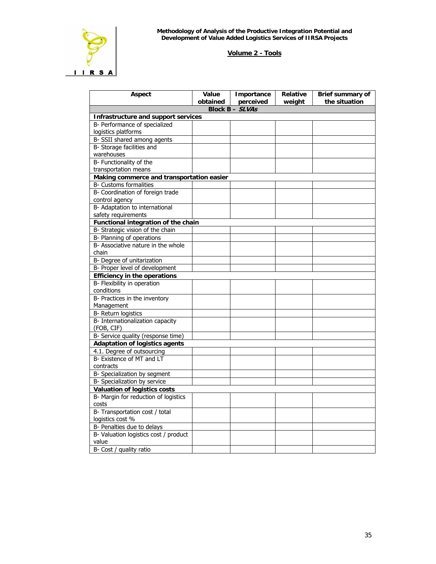

| Aspect                                    | Value    | Importance      | Relative | Brief summary of |
|-------------------------------------------|----------|-----------------|----------|------------------|
|                                           | obtained | perceived       | weight   | the situation    |
|                                           |          | Block B - SLVAs |          |                  |
| Infrastructure and support services       |          |                 |          |                  |
| B- Performance of specialized             |          |                 |          |                  |
| logistics platforms                       |          |                 |          |                  |
| B- SSII shared among agents               |          |                 |          |                  |
| B- Storage facilities and                 |          |                 |          |                  |
| warehouses                                |          |                 |          |                  |
| B- Functionality of the                   |          |                 |          |                  |
| transportation means                      |          |                 |          |                  |
| Making commerce and transportation easier |          |                 |          |                  |
| B- Customs formalities                    |          |                 |          |                  |
| B- Coordination of foreign trade          |          |                 |          |                  |
| control agency                            |          |                 |          |                  |
| B- Adaptation to international            |          |                 |          |                  |
| safety requirements                       |          |                 |          |                  |
| Functional integration of the chain       |          |                 |          |                  |
| B- Strategic vision of the chain          |          |                 |          |                  |
| B- Planning of operations                 |          |                 |          |                  |
| B- Associative nature in the whole        |          |                 |          |                  |
| chain                                     |          |                 |          |                  |
| B- Degree of unitarization                |          |                 |          |                  |
| B- Proper level of development            |          |                 |          |                  |
| <b>Efficiency in the operations</b>       |          |                 |          |                  |
| B- Flexibility in operation               |          |                 |          |                  |
| conditions                                |          |                 |          |                  |
| B- Practices in the inventory             |          |                 |          |                  |
| Management                                |          |                 |          |                  |
| B- Return logistics                       |          |                 |          |                  |
| B- Internationalization capacity          |          |                 |          |                  |
| (FOB, CIF)                                |          |                 |          |                  |
| B- Service quality (response time)        |          |                 |          |                  |
| <b>Adaptation of logistics agents</b>     |          |                 |          |                  |
| 4.1. Degree of outsourcing                |          |                 |          |                  |
| B- Existence of MT and LT                 |          |                 |          |                  |
| contracts                                 |          |                 |          |                  |
| B- Specialization by segment              |          |                 |          |                  |
| B- Specialization by service              |          |                 |          |                  |
| Valuation of logistics costs              |          |                 |          |                  |
| B- Margin for reduction of logistics      |          |                 |          |                  |
| costs                                     |          |                 |          |                  |
| B- Transportation cost / total            |          |                 |          |                  |
| logistics cost %                          |          |                 |          |                  |
| B- Penalties due to delays                |          |                 |          |                  |
| B- Valuation logistics cost / product     |          |                 |          |                  |
| value                                     |          |                 |          |                  |
| B- Cost / quality ratio                   |          |                 |          |                  |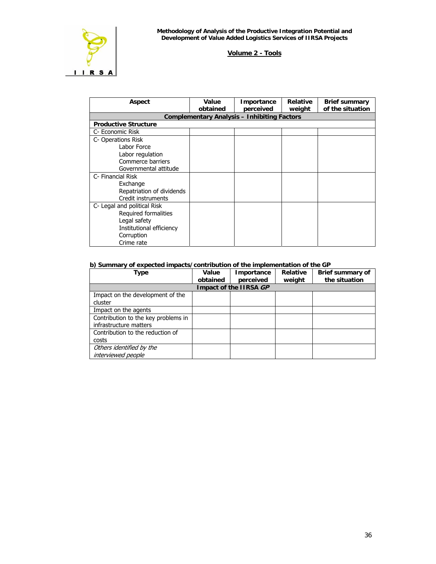

| Aspect                                             | Value<br>obtained | Importance<br>perceived | <b>Relative</b><br>weight | <b>Brief summary</b><br>of the situation |  |  |  |
|----------------------------------------------------|-------------------|-------------------------|---------------------------|------------------------------------------|--|--|--|
| <b>Complementary Analysis - Inhibiting Factors</b> |                   |                         |                           |                                          |  |  |  |
| <b>Productive Structure</b>                        |                   |                         |                           |                                          |  |  |  |
| C- Economic Risk                                   |                   |                         |                           |                                          |  |  |  |
| C- Operations Risk                                 |                   |                         |                           |                                          |  |  |  |
| Labor Force                                        |                   |                         |                           |                                          |  |  |  |
| Labor regulation                                   |                   |                         |                           |                                          |  |  |  |
| Commerce barriers                                  |                   |                         |                           |                                          |  |  |  |
| Governmental attitude                              |                   |                         |                           |                                          |  |  |  |
| C- Financial Risk                                  |                   |                         |                           |                                          |  |  |  |
| Exchange                                           |                   |                         |                           |                                          |  |  |  |
| Repatriation of dividends                          |                   |                         |                           |                                          |  |  |  |
| Credit instruments                                 |                   |                         |                           |                                          |  |  |  |
| C- Legal and political Risk                        |                   |                         |                           |                                          |  |  |  |
| Required formalities                               |                   |                         |                           |                                          |  |  |  |
| Legal safety                                       |                   |                         |                           |                                          |  |  |  |
| Institutional efficiency                           |                   |                         |                           |                                          |  |  |  |
| Corruption                                         |                   |                         |                           |                                          |  |  |  |
| Crime rate                                         |                   |                         |                           |                                          |  |  |  |

### **b) Summary of expected impacts/contribution of the implementation of the GP**

| Type                                                          | Value<br>obtained | Importance<br>perceived | <b>Relative</b><br>weight | Brief summary of<br>the situation |
|---------------------------------------------------------------|-------------------|-------------------------|---------------------------|-----------------------------------|
|                                                               |                   | Impact of the IIRSA GP  |                           |                                   |
| Impact on the development of the<br>cluster                   |                   |                         |                           |                                   |
| Impact on the agents                                          |                   |                         |                           |                                   |
| Contribution to the key problems in<br>infrastructure matters |                   |                         |                           |                                   |
| Contribution to the reduction of<br>costs                     |                   |                         |                           |                                   |
| Others identified by the<br>interviewed people                |                   |                         |                           |                                   |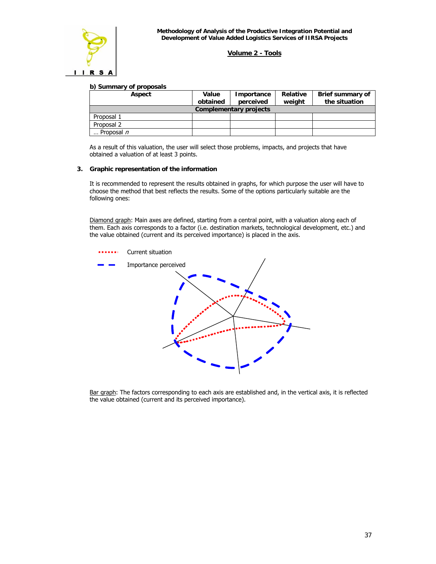

### **b) Summary of proposals**

| Aspect     | Value    | Importance             | Relative | Brief summary of |  |
|------------|----------|------------------------|----------|------------------|--|
|            | obtained | perceived              | weight   | the situation    |  |
|            |          | Complementary projects |          |                  |  |
| Proposal 1 |          |                        |          |                  |  |
| Proposal 2 |          |                        |          |                  |  |
| Proposal n |          |                        |          |                  |  |

As a result of this valuation, the user will select those problems, impacts, and projects that have obtained a valuation of at least 3 points.

#### **3. Graphic representation of the information**

It is recommended to represent the results obtained in graphs, for which purpose the user will have to choose the method that best reflects the results. Some of the options particularly suitable are the following ones:

Diamond graph: Main axes are defined, starting from a central point, with a valuation along each of them. Each axis corresponds to a factor (i.e. destination markets, technological development, etc.) and the value obtained (current and its perceived importance) is placed in the axis.



Bar graph: The factors corresponding to each axis are established and, in the vertical axis, it is reflected the value obtained (current and its perceived importance).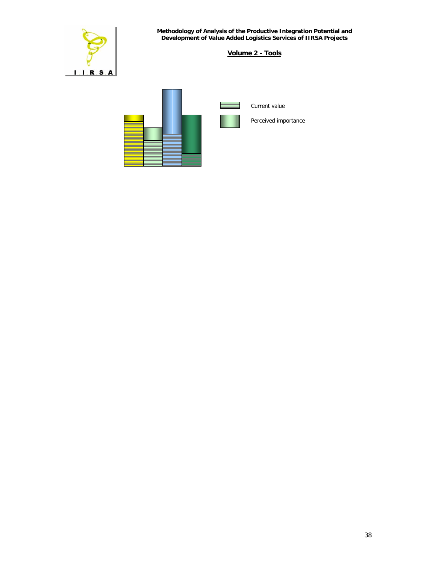

**Methodology of Analysis of the Productive Integration Potential and Development of Value Added Logistics Services of IIRSA Projects**

## **Volume 2 - Tools**

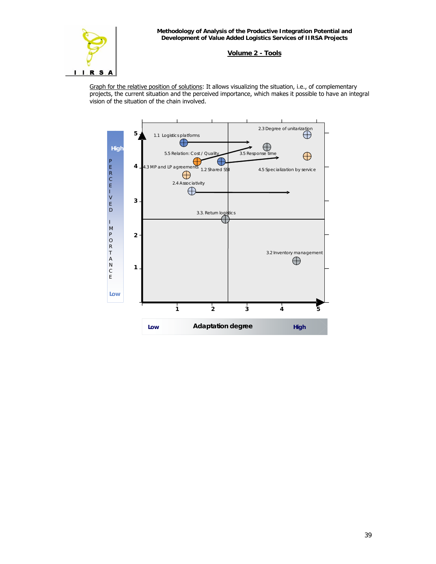

Graph for the relative position of solutions: It allows visualizing the situation, i.e., of complementary projects, the current situation and the perceived importance, which makes it possible to have an integral vision of the situation of the chain involved.

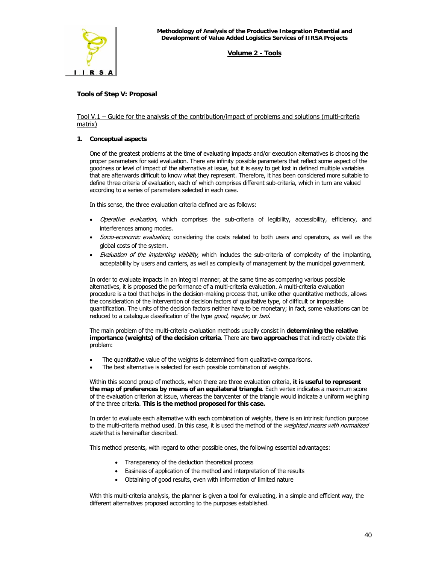

### **Tools of Step V: Proposal**

### Tool V.1 – Guide for the analysis of the contribution/impact of problems and solutions (multi-criteria matrix)

### **1. Conceptual aspects**

One of the greatest problems at the time of evaluating impacts and/or execution alternatives is choosing the proper parameters for said evaluation. There are infinity possible parameters that reflect some aspect of the goodness or level of impact of the alternative at issue, but it is easy to get lost in defined multiple variables that are afterwards difficult to know what they represent. Therefore, it has been considered more suitable to define three criteria of evaluation, each of which comprises different sub-criteria, which in turn are valued according to a series of parameters selected in each case.

In this sense, the three evaluation criteria defined are as follows:

- Operative evaluation, which comprises the sub-criteria of legibility, accessibility, efficiency, and interferences among modes.
- Socio-economic evaluation, considering the costs related to both users and operators, as well as the global costs of the system.
- Evaluation of the implanting viability, which includes the sub-criteria of complexity of the implanting, acceptability by users and carriers, as well as complexity of management by the municipal government.

In order to evaluate impacts in an integral manner, at the same time as comparing various possible alternatives, it is proposed the performance of a multi-criteria evaluation. A multi-criteria evaluation procedure is a tool that helps in the decision-making process that, unlike other quantitative methods, allows the consideration of the intervention of decision factors of qualitative type, of difficult or impossible quantification. The units of the decision factors neither have to be monetary; in fact, some valuations can be reduced to a catalogue classification of the type *good, regular,* or *bad.* 

The main problem of the multi-criteria evaluation methods usually consist in **determining the relative importance (weights) of the decision criteria**. There are **two approaches** that indirectly obviate this problem:

- The quantitative value of the weights is determined from qualitative comparisons.
- The best alternative is selected for each possible combination of weights.

Within this second group of methods, when there are three evaluation criteria, **it is useful to represent the map of preferences by means of an equilateral triangle**. Each vertex indicates a maximum score of the evaluation criterion at issue, whereas the barycenter of the triangle would indicate a uniform weighing of the three criteria. **This is the method proposed for this case.**

to the multi-criteria method used. In this case, it is used the method of the *weighted means with normalized* In order to evaluate each alternative with each combination of weights, there is an intrinsic function purpose scale that is hereinafter described.

This method presents, with regard to other possible ones, the following essential advantages:

- Transparency of the deduction theoretical process
- Easiness of application of the method and interpretation of the results
- Obtaining of good results, even with information of limited nature

With this multi-criteria analysis, the planner is given a tool for evaluating, in a simple and efficient way, the different alternatives proposed according to the purposes established.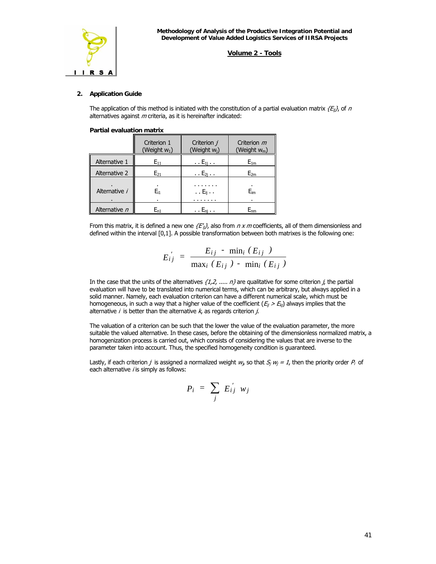

### **2. Application Guide**

The application of this method is initiated with the constitution of a partial evaluation matrix  ${f_{ii}}$ , of n alternatives against  $m$  criteria, as it is hereinafter indicated:

#### **Partial evaluation matrix**

|               | Criterion 1<br>(Weight $w_1$ ) | Criterion j<br>(Weight w <sub>i</sub> ) | Criterion m<br>(Weight $w_m$ )       |
|---------------|--------------------------------|-----------------------------------------|--------------------------------------|
| Alternative 1 | $E_{11}$                       | $\ldots$ E <sub>1i</sub> $\ldots$       | $E_{1m}$                             |
| Alternative 2 | $E_{21}$                       | $\ldots E_{2i} \ldots$                  | $E_{2m}$                             |
| Alternative i | $E_{i1}$                       | $\ldots E_{ij} \ldots$                  | $E_{im}$                             |
| Alternative n | $\mathsf{E}_{\mathsf{n1}}$     |                                         | ${\mathsf E}_{\textsf{n}\textsf{m}}$ |

From this matrix, it is defined a new one  $\{E'_{ij}\}$ , also from  $n \times m$  coefficients, all of them dimensionless and defined within the interval [0,1]. A possible transformation between both matrixes is the following one:

$$
E'_{ij} = \frac{E_{ij} - \min_i (E_{ij})}{\max_i (E_{ij}) - \min_i (E_{ij})}
$$

In the case that the units of the alternatives  $\{1, 2, ..., n\}$  are qualitative for some criterion j, the partial evaluation will have to be translated into numerical terms, which can be arbitrary, but always applied in a solid manner. Namely, each evaluation criterion can have a different numerical scale, which must be homogeneous, in such a way that a higher value of the coefficient  $(E_{ii} > E_{ki})$  always implies that the alternative *i* is better than the alternative  $k$ , as regards criterion  $j$ .

The valuation of a criterion can be such that the lower the value of the evaluation parameter, the more suitable the valued alternative. In these cases, before the obtaining of the dimensionless normalized matrix, a homogenization process is carried out, which consists of considering the values that are inverse to the parameter taken into account. Thus, the specified homogeneity condition is guaranteed.

Lastly, if each criterion j is assigned a normalized weight  $w_j$ , so that  $S_j w_j = I$ , then the priority order  $P_i$  of each alternative  $i$  is simply as follows:

$$
P_i = \sum_j E'_{ij} w_j
$$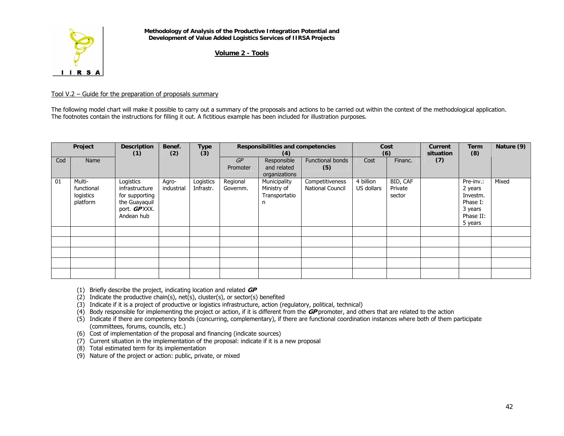

**Methodology of Analysis of the Productive Integration Potential and Development of Value Added Logistics Services of IIRSA Projects**

**Volume 2 - Tools**

#### Tool V.2 – Guide for the preparation of proposals summary

The following model chart will make it possible to carry out a summary of the proposals and actions to be carried out within the context of the methodological application. The footnotes contain the instructions for filling it out. A fictitious example has been included for illustration purposes.

|     | Project                                       | <b>Description</b><br>(1)                                                                    | Benef.<br>(2)       | Type<br>(3)            |                      | Responsibilities and competencies<br>(4)          |                                            |                         | Cost<br>(6)                   | Current<br>situation | <b>Term</b><br>(8)                                                              | Nature (9) |
|-----|-----------------------------------------------|----------------------------------------------------------------------------------------------|---------------------|------------------------|----------------------|---------------------------------------------------|--------------------------------------------|-------------------------|-------------------------------|----------------------|---------------------------------------------------------------------------------|------------|
| Cod | Name                                          |                                                                                              |                     |                        | GP<br>Promoter       | Responsible<br>and related<br>organizations       | Functional bonds<br>(5)                    | Cost                    | Financ.                       | (7)                  |                                                                                 |            |
| 01  | Multi-<br>functional<br>logistics<br>platform | Logistics<br>infrastructure<br>for supporting<br>the Guayaquil<br>port. GPXXX.<br>Andean hub | Agro-<br>industrial | Logistics<br>Infrastr. | Regional<br>Governm. | Municipality<br>Ministry of<br>Transportatio<br>n | Competitiveness<br><b>National Council</b> | 4 billion<br>US dollars | BID, CAF<br>Private<br>sector |                      | Pre-inv.:<br>2 years<br>Investm.<br>Phase I:<br>3 years<br>Phase II:<br>5 years | Mixed      |
|     |                                               |                                                                                              |                     |                        |                      |                                                   |                                            |                         |                               |                      |                                                                                 |            |
|     |                                               |                                                                                              |                     |                        |                      |                                                   |                                            |                         |                               |                      |                                                                                 |            |
|     |                                               |                                                                                              |                     |                        |                      |                                                   |                                            |                         |                               |                      |                                                                                 |            |
|     |                                               |                                                                                              |                     |                        |                      |                                                   |                                            |                         |                               |                      |                                                                                 |            |
|     |                                               |                                                                                              |                     |                        |                      |                                                   |                                            |                         |                               |                      |                                                                                 |            |

- (1) Briefly describe the project, indicating location and related **GP**
- (2) Indicate the productive chain(s), net(s), cluster(s), or sector(s) benefited
- (3) Indicate if it is a project of productive or logistics infrastructure, action (regulatory, political, technical)
- (4) Body responsible for implementing the project or action, if it is different from the **GP** promoter, and others that are related to the action
- (5) Indicate if there are competency bonds (concurring, complementary), if there are functional coordination instances where both of them participate (committees, forums, councils, etc.)
- (6) Cost of implementation of the proposal and financing (indicate sources)
- (7) Current situation in the implementation of the proposal: indicate if it is a new proposal
- (8) Total estimated term for its implementation
- (9) Nature of the project or action: public, private, or mixed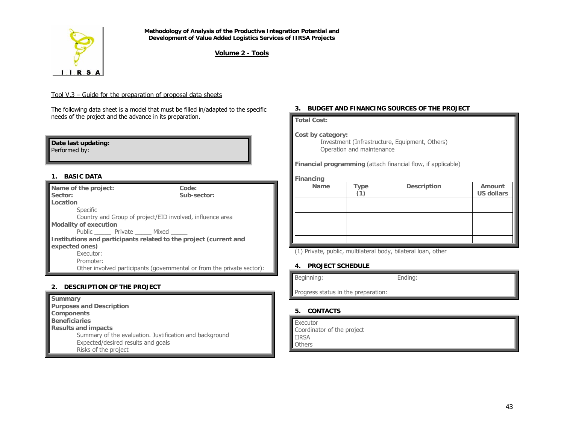

**Methodology of Analysis of the Productive Integration Potential and Development of Value Added Logistics Services of IIRSA Projects**

**Volume 2 - Tools**

#### Tool V.3 – Guide for the preparation of proposal data sheets

The following data sheet is a model that must be filled in/adapted to the specific needs of the project and the advance in its preparation.

#### **Date last updating:**

Performed by:

#### **1. BASIC DATA**

| Name of the project:                                              | Code:                                                                  |
|-------------------------------------------------------------------|------------------------------------------------------------------------|
| Sector:                                                           | Sub-sector:                                                            |
| Location                                                          |                                                                        |
| Specific                                                          |                                                                        |
|                                                                   | Country and Group of project/EID involved, influence area              |
| <b>Modality of execution</b>                                      |                                                                        |
| Public Private ______ Mixed                                       |                                                                        |
| Institutions and participants related to the project (current and |                                                                        |
| expected ones)                                                    |                                                                        |
| Executor:                                                         |                                                                        |
| Promoter:                                                         |                                                                        |
|                                                                   | Other involved participants (governmental or from the private sector): |

#### **2. DESCRIPTION OF THE PROJECT**

**Summary Purposes and Description Components Beneficiaries Results and impacts**  Summary of the evaluation. Justification and background Expected/desired results and goals Risks of the project

#### **3. BUDGET AND FINANCING SOURCES OF THE PROJECT**

#### **Total Cost:**

#### **Cost by category:**

Investment (Infrastructure, Equipment, Others) Operation and maintenance

**Financial programming** (attach financial flow, if applicable)

#### **Financing**

| Name | Type | <b>Description</b> | Amount<br><b>US dollars</b> |
|------|------|--------------------|-----------------------------|
|      |      |                    |                             |
|      |      |                    |                             |
|      |      |                    |                             |
|      |      |                    |                             |
|      |      |                    |                             |
|      |      |                    |                             |

(1) Private, public, multilateral body, bilateral loan, other

#### **4. PROJECT SCHEDULE**

Beginning: Ending:

Progress status in the preparation:

#### **5. CONTACTS**

| Executor                   |  |
|----------------------------|--|
| Coordinator of the project |  |
| IIRSA                      |  |
| Others                     |  |